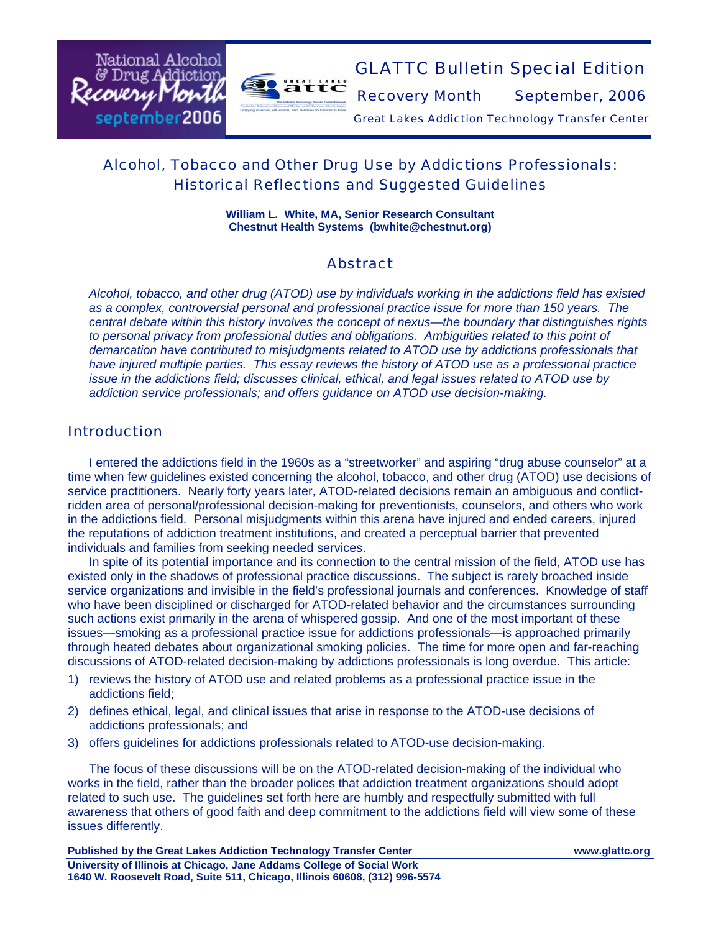

# GLATTC Bulletin Special Edition

Recovery Month September, 2006

Great Lakes Addiction Technology Transfer Center

## Alcohol, Tobacco and Other Drug Use by Addictions Professionals: Historical Reflections and Suggested Guidelines

**William L. White, MA, Senior Research Consultant Chestnut Health Systems (bwhite@chestnut.org)** 

## Abstract

*Alcohol, tobacco, and other drug (ATOD) use by individuals working in the addictions field has existed as a complex, controversial personal and professional practice issue for more than 150 years. The central debate within this history involves the concept of nexus—the boundary that distinguishes rights to personal privacy from professional duties and obligations. Ambiguities related to this point of demarcation have contributed to misjudgments related to ATOD use by addictions professionals that have injured multiple parties. This essay reviews the history of ATOD use as a professional practice issue in the addictions field; discusses clinical, ethical, and legal issues related to ATOD use by addiction service professionals; and offers guidance on ATOD use decision-making.* 

### Introduction

National Alcohol & Drug Addictio:

september2006

Recovery

I entered the addictions field in the 1960s as a "streetworker" and aspiring "drug abuse counselor" at a time when few guidelines existed concerning the alcohol, tobacco, and other drug (ATOD) use decisions of service practitioners. Nearly forty years later, ATOD-related decisions remain an ambiguous and conflictridden area of personal/professional decision-making for preventionists, counselors, and others who work in the addictions field. Personal misjudgments within this arena have injured and ended careers, injured the reputations of addiction treatment institutions, and created a perceptual barrier that prevented individuals and families from seeking needed services.

In spite of its potential importance and its connection to the central mission of the field, ATOD use has existed only in the shadows of professional practice discussions. The subject is rarely broached inside service organizations and invisible in the field's professional journals and conferences. Knowledge of staff who have been disciplined or discharged for ATOD-related behavior and the circumstances surrounding such actions exist primarily in the arena of whispered gossip. And one of the most important of these issues—smoking as a professional practice issue for addictions professionals—is approached primarily through heated debates about organizational smoking policies. The time for more open and far-reaching discussions of ATOD-related decision-making by addictions professionals is long overdue. This article:

- 1) reviews the history of ATOD use and related problems as a professional practice issue in the addictions field;
- 2) defines ethical, legal, and clinical issues that arise in response to the ATOD-use decisions of addictions professionals; and
- 3) offers guidelines for addictions professionals related to ATOD-use decision-making.

The focus of these discussions will be on the ATOD-related decision-making of the individual who works in the field, rather than the broader polices that addiction treatment organizations should adopt related to such use. The guidelines set forth here are humbly and respectfully submitted with full awareness that others of good faith and deep commitment to the addictions field will view some of these issues differently.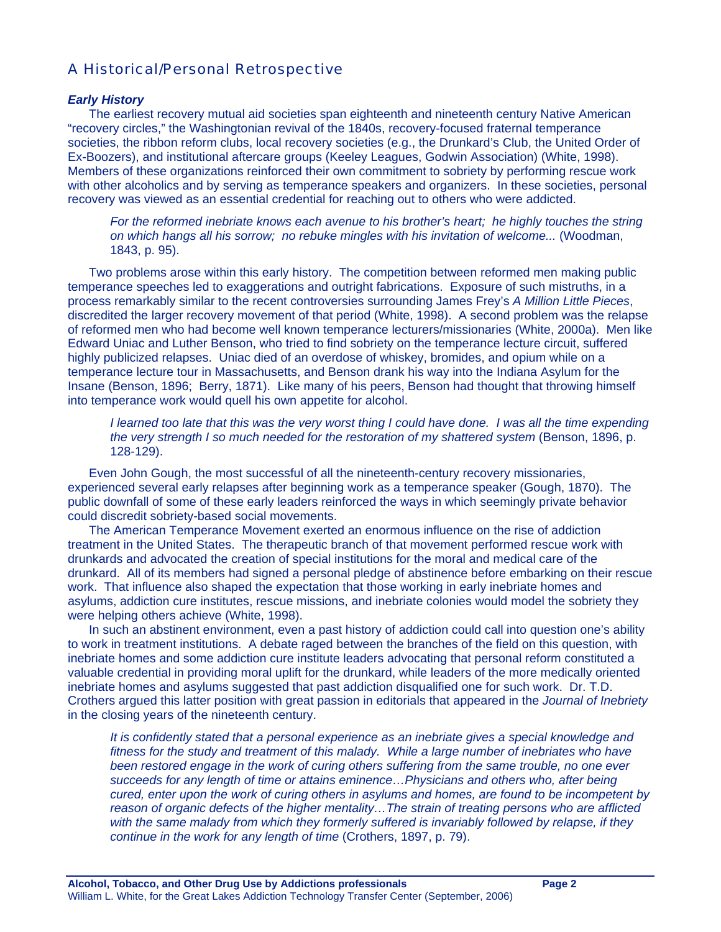## A Historical/Personal Retrospective

#### *Early History*

 The earliest recovery mutual aid societies span eighteenth and nineteenth century Native American "recovery circles," the Washingtonian revival of the 1840s, recovery-focused fraternal temperance societies, the ribbon reform clubs, local recovery societies (e.g., the Drunkard's Club, the United Order of Ex-Boozers), and institutional aftercare groups (Keeley Leagues, Godwin Association) (White, 1998). Members of these organizations reinforced their own commitment to sobriety by performing rescue work with other alcoholics and by serving as temperance speakers and organizers. In these societies, personal recovery was viewed as an essential credential for reaching out to others who were addicted.

*For the reformed inebriate knows each avenue to his brother's heart; he highly touches the string on which hangs all his sorrow; no rebuke mingles with his invitation of welcome...* (Woodman, 1843, p. 95).

 Two problems arose within this early history. The competition between reformed men making public temperance speeches led to exaggerations and outright fabrications. Exposure of such mistruths, in a process remarkably similar to the recent controversies surrounding James Frey's *A Million Little Pieces*, discredited the larger recovery movement of that period (White, 1998). A second problem was the relapse of reformed men who had become well known temperance lecturers/missionaries (White, 2000a). Men like Edward Uniac and Luther Benson, who tried to find sobriety on the temperance lecture circuit, suffered highly publicized relapses. Uniac died of an overdose of whiskey, bromides, and opium while on a temperance lecture tour in Massachusetts, and Benson drank his way into the Indiana Asylum for the Insane (Benson, 1896; Berry, 1871). Like many of his peers, Benson had thought that throwing himself into temperance work would quell his own appetite for alcohol.

*I learned too late that this was the very worst thing I could have done. I was all the time expending the very strength I so much needed for the restoration of my shattered system* (Benson, 1896, p. 128-129).

Even John Gough, the most successful of all the nineteenth-century recovery missionaries, experienced several early relapses after beginning work as a temperance speaker (Gough, 1870). The public downfall of some of these early leaders reinforced the ways in which seemingly private behavior could discredit sobriety-based social movements.

The American Temperance Movement exerted an enormous influence on the rise of addiction treatment in the United States. The therapeutic branch of that movement performed rescue work with drunkards and advocated the creation of special institutions for the moral and medical care of the drunkard. All of its members had signed a personal pledge of abstinence before embarking on their rescue work. That influence also shaped the expectation that those working in early inebriate homes and asylums, addiction cure institutes, rescue missions, and inebriate colonies would model the sobriety they were helping others achieve (White, 1998).

In such an abstinent environment, even a past history of addiction could call into question one's ability to work in treatment institutions. A debate raged between the branches of the field on this question, with inebriate homes and some addiction cure institute leaders advocating that personal reform constituted a valuable credential in providing moral uplift for the drunkard, while leaders of the more medically oriented inebriate homes and asylums suggested that past addiction disqualified one for such work. Dr. T.D. Crothers argued this latter position with great passion in editorials that appeared in the *Journal of Inebriety* in the closing years of the nineteenth century.

*It is confidently stated that a personal experience as an inebriate gives a special knowledge and*  fitness for the study and treatment of this malady. While a large number of inebriates who have *been restored engage in the work of curing others suffering from the same trouble, no one ever succeeds for any length of time or attains eminence…Physicians and others who, after being cured, enter upon the work of curing others in asylums and homes, are found to be incompetent by reason of organic defects of the higher mentality…The strain of treating persons who are afflicted*  with the same malady from which they formerly suffered is invariably followed by relapse, if they *continue in the work for any length of time* (Crothers, 1897, p. 79).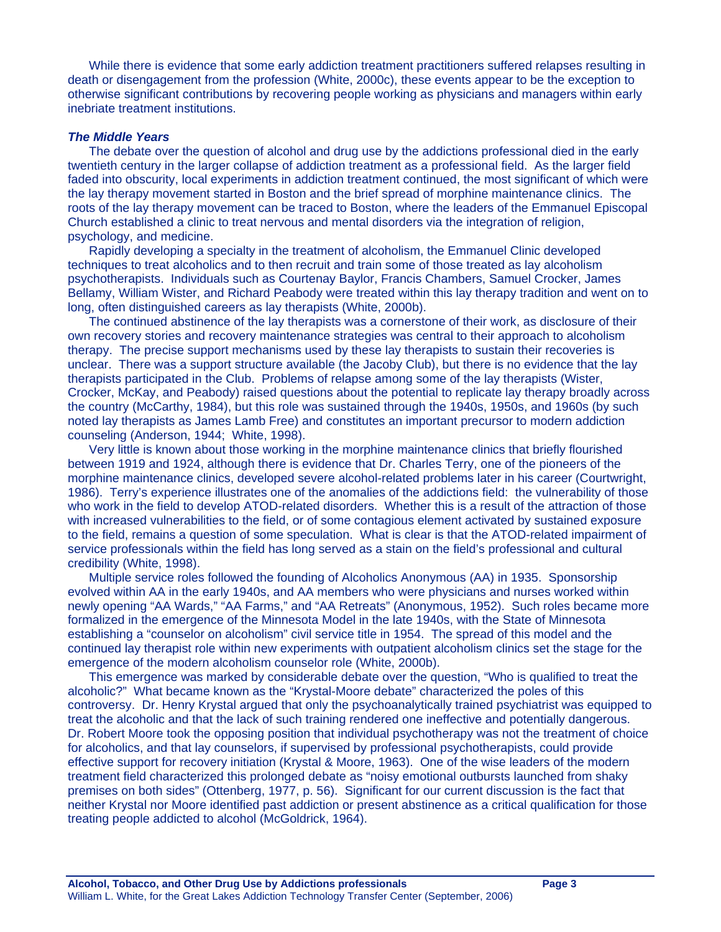While there is evidence that some early addiction treatment practitioners suffered relapses resulting in death or disengagement from the profession (White, 2000c), these events appear to be the exception to otherwise significant contributions by recovering people working as physicians and managers within early inebriate treatment institutions.

#### *The Middle Years*

The debate over the question of alcohol and drug use by the addictions professional died in the early twentieth century in the larger collapse of addiction treatment as a professional field. As the larger field faded into obscurity, local experiments in addiction treatment continued, the most significant of which were the lay therapy movement started in Boston and the brief spread of morphine maintenance clinics. The roots of the lay therapy movement can be traced to Boston, where the leaders of the Emmanuel Episcopal Church established a clinic to treat nervous and mental disorders via the integration of religion, psychology, and medicine.

Rapidly developing a specialty in the treatment of alcoholism, the Emmanuel Clinic developed techniques to treat alcoholics and to then recruit and train some of those treated as lay alcoholism psychotherapists. Individuals such as Courtenay Baylor, Francis Chambers, Samuel Crocker, James Bellamy, William Wister, and Richard Peabody were treated within this lay therapy tradition and went on to long, often distinguished careers as lay therapists (White, 2000b).

The continued abstinence of the lay therapists was a cornerstone of their work, as disclosure of their own recovery stories and recovery maintenance strategies was central to their approach to alcoholism therapy. The precise support mechanisms used by these lay therapists to sustain their recoveries is unclear. There was a support structure available (the Jacoby Club), but there is no evidence that the lay therapists participated in the Club. Problems of relapse among some of the lay therapists (Wister, Crocker, McKay, and Peabody) raised questions about the potential to replicate lay therapy broadly across the country (McCarthy, 1984), but this role was sustained through the 1940s, 1950s, and 1960s (by such noted lay therapists as James Lamb Free) and constitutes an important precursor to modern addiction counseling (Anderson, 1944; White, 1998).

Very little is known about those working in the morphine maintenance clinics that briefly flourished between 1919 and 1924, although there is evidence that Dr. Charles Terry, one of the pioneers of the morphine maintenance clinics, developed severe alcohol-related problems later in his career (Courtwright, 1986). Terry's experience illustrates one of the anomalies of the addictions field: the vulnerability of those who work in the field to develop ATOD-related disorders. Whether this is a result of the attraction of those with increased vulnerabilities to the field, or of some contagious element activated by sustained exposure to the field, remains a question of some speculation. What is clear is that the ATOD-related impairment of service professionals within the field has long served as a stain on the field's professional and cultural credibility (White, 1998).

Multiple service roles followed the founding of Alcoholics Anonymous (AA) in 1935. Sponsorship evolved within AA in the early 1940s, and AA members who were physicians and nurses worked within newly opening "AA Wards," "AA Farms," and "AA Retreats" (Anonymous, 1952). Such roles became more formalized in the emergence of the Minnesota Model in the late 1940s, with the State of Minnesota establishing a "counselor on alcoholism" civil service title in 1954. The spread of this model and the continued lay therapist role within new experiments with outpatient alcoholism clinics set the stage for the emergence of the modern alcoholism counselor role (White, 2000b).

This emergence was marked by considerable debate over the question, "Who is qualified to treat the alcoholic?" What became known as the "Krystal-Moore debate" characterized the poles of this controversy. Dr. Henry Krystal argued that only the psychoanalytically trained psychiatrist was equipped to treat the alcoholic and that the lack of such training rendered one ineffective and potentially dangerous. Dr. Robert Moore took the opposing position that individual psychotherapy was not the treatment of choice for alcoholics, and that lay counselors, if supervised by professional psychotherapists, could provide effective support for recovery initiation (Krystal & Moore, 1963). One of the wise leaders of the modern treatment field characterized this prolonged debate as "noisy emotional outbursts launched from shaky premises on both sides" (Ottenberg, 1977, p. 56). Significant for our current discussion is the fact that neither Krystal nor Moore identified past addiction or present abstinence as a critical qualification for those treating people addicted to alcohol (McGoldrick, 1964).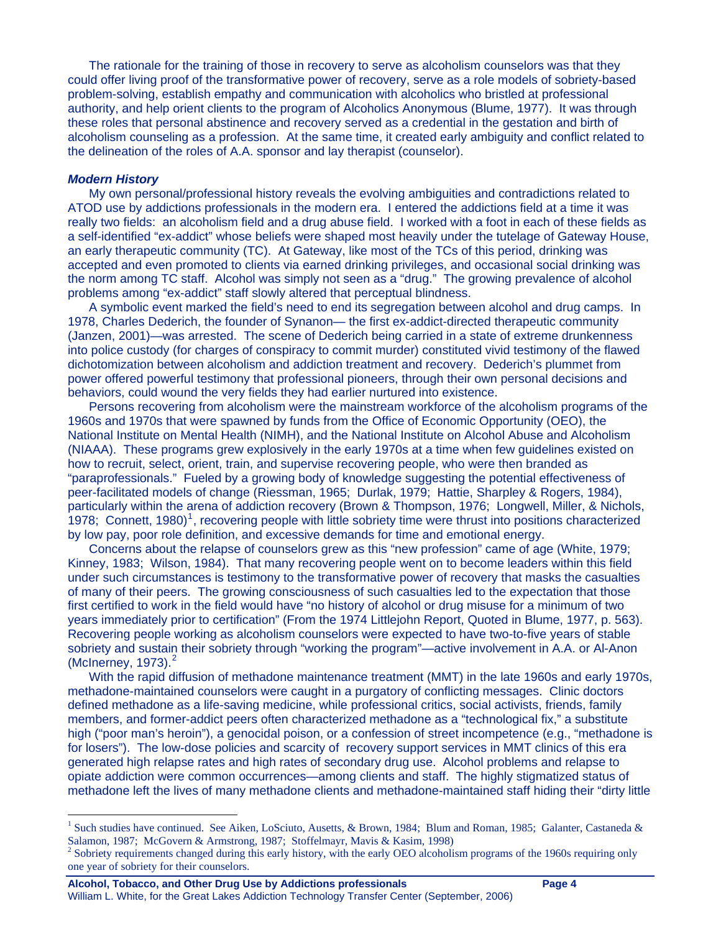The rationale for the training of those in recovery to serve as alcoholism counselors was that they could offer living proof of the transformative power of recovery, serve as a role models of sobriety-based problem-solving, establish empathy and communication with alcoholics who bristled at professional authority, and help orient clients to the program of Alcoholics Anonymous (Blume, 1977). It was through these roles that personal abstinence and recovery served as a credential in the gestation and birth of alcoholism counseling as a profession. At the same time, it created early ambiguity and conflict related to the delineation of the roles of A.A. sponsor and lay therapist (counselor).

#### *Modern History*

 $\overline{a}$ 

My own personal/professional history reveals the evolving ambiguities and contradictions related to ATOD use by addictions professionals in the modern era. I entered the addictions field at a time it was really two fields: an alcoholism field and a drug abuse field. I worked with a foot in each of these fields as a self-identified "ex-addict" whose beliefs were shaped most heavily under the tutelage of Gateway House, an early therapeutic community (TC). At Gateway, like most of the TCs of this period, drinking was accepted and even promoted to clients via earned drinking privileges, and occasional social drinking was the norm among TC staff. Alcohol was simply not seen as a "drug." The growing prevalence of alcohol problems among "ex-addict" staff slowly altered that perceptual blindness.

A symbolic event marked the field's need to end its segregation between alcohol and drug camps. In 1978, Charles Dederich, the founder of Synanon— the first ex-addict-directed therapeutic community (Janzen, 2001)—was arrested. The scene of Dederich being carried in a state of extreme drunkenness into police custody (for charges of conspiracy to commit murder) constituted vivid testimony of the flawed dichotomization between alcoholism and addiction treatment and recovery. Dederich's plummet from power offered powerful testimony that professional pioneers, through their own personal decisions and behaviors, could wound the very fields they had earlier nurtured into existence.

Persons recovering from alcoholism were the mainstream workforce of the alcoholism programs of the 1960s and 1970s that were spawned by funds from the Office of Economic Opportunity (OEO), the National Institute on Mental Health (NIMH), and the National Institute on Alcohol Abuse and Alcoholism (NIAAA). These programs grew explosively in the early 1970s at a time when few guidelines existed on how to recruit, select, orient, train, and supervise recovering people, who were then branded as "paraprofessionals." Fueled by a growing body of knowledge suggesting the potential effectiveness of peer-facilitated models of change (Riessman, 1965; Durlak, 1979; Hattie, Sharpley & Rogers, 1984), particularly within the arena of addiction recovery (Brown & Thompson, 1976; Longwell, Miller, & Nichols, [1](#page-3-0)978; Connett, 1980)<sup>1</sup>, recovering people with little sobriety time were thrust into positions characterized by low pay, poor role definition, and excessive demands for time and emotional energy.

Concerns about the relapse of counselors grew as this "new profession" came of age (White, 1979; Kinney, 1983; Wilson, 1984). That many recovering people went on to become leaders within this field under such circumstances is testimony to the transformative power of recovery that masks the casualties of many of their peers. The growing consciousness of such casualties led to the expectation that those first certified to work in the field would have "no history of alcohol or drug misuse for a minimum of two years immediately prior to certification" (From the 1974 Littlejohn Report, Quoted in Blume, 1977, p. 563). Recovering people working as alcoholism counselors were expected to have two-to-five years of stable sobriety and sustain their sobriety through "working the program"—active involvement in A.A. or Al-Anon (McInerney,  $1973$ ). $<sup>2</sup>$  $<sup>2</sup>$  $<sup>2</sup>$ </sup>

With the rapid diffusion of methadone maintenance treatment (MMT) in the late 1960s and early 1970s, methadone-maintained counselors were caught in a purgatory of conflicting messages. Clinic doctors defined methadone as a life-saving medicine, while professional critics, social activists, friends, family members, and former-addict peers often characterized methadone as a "technological fix," a substitute high ("poor man's heroin"), a genocidal poison, or a confession of street incompetence (e.g., "methadone is for losers"). The low-dose policies and scarcity of recovery support services in MMT clinics of this era generated high relapse rates and high rates of secondary drug use. Alcohol problems and relapse to opiate addiction were common occurrences—among clients and staff. The highly stigmatized status of methadone left the lives of many methadone clients and methadone-maintained staff hiding their "dirty little

<span id="page-3-0"></span><sup>&</sup>lt;sup>1</sup> Such studies have continued. See Aiken, LoSciuto, Ausetts, & Brown, 1984; Blum and Roman, 1985; Galanter, Castaneda & Salamon, 1987; McGovern & Armstrong, 1987; Stoffelmayr, Mavis & Kasim, 1998)

<span id="page-3-1"></span> $2^2$  Sobriety requirements changed during this early history, with the early OEO alcoholism programs of the 1960s requiring only one year of sobriety for their counselors.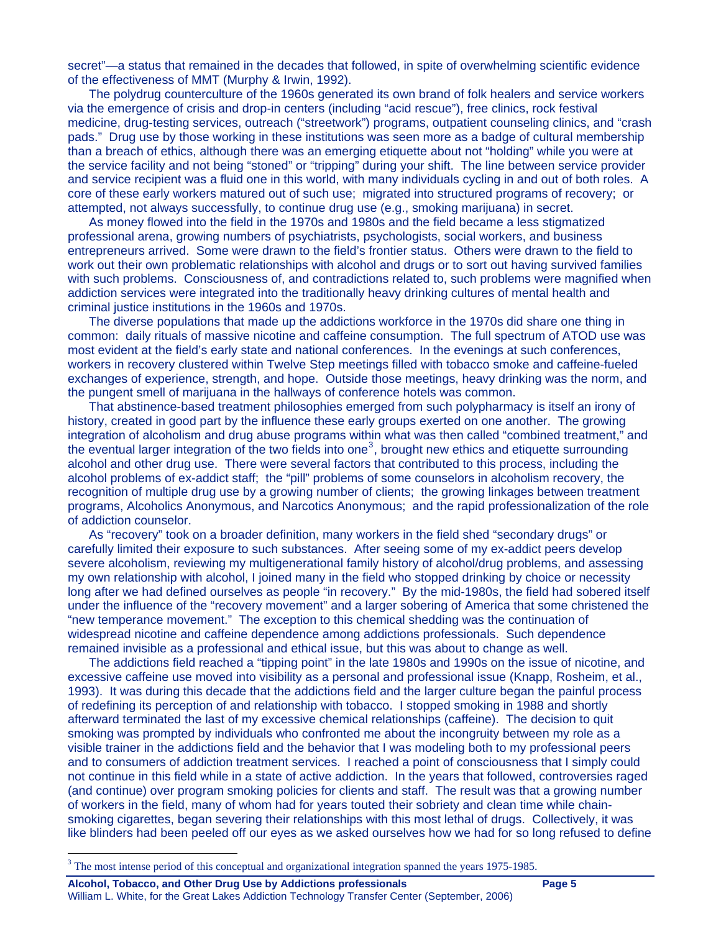secret"—a status that remained in the decades that followed, in spite of overwhelming scientific evidence of the effectiveness of MMT (Murphy & Irwin, 1992).

The polydrug counterculture of the 1960s generated its own brand of folk healers and service workers via the emergence of crisis and drop-in centers (including "acid rescue"), free clinics, rock festival medicine, drug-testing services, outreach ("streetwork") programs, outpatient counseling clinics, and "crash pads." Drug use by those working in these institutions was seen more as a badge of cultural membership than a breach of ethics, although there was an emerging etiquette about not "holding" while you were at the service facility and not being "stoned" or "tripping" during your shift. The line between service provider and service recipient was a fluid one in this world, with many individuals cycling in and out of both roles. A core of these early workers matured out of such use; migrated into structured programs of recovery; or attempted, not always successfully, to continue drug use (e.g., smoking marijuana) in secret.

As money flowed into the field in the 1970s and 1980s and the field became a less stigmatized professional arena, growing numbers of psychiatrists, psychologists, social workers, and business entrepreneurs arrived. Some were drawn to the field's frontier status. Others were drawn to the field to work out their own problematic relationships with alcohol and drugs or to sort out having survived families with such problems. Consciousness of, and contradictions related to, such problems were magnified when addiction services were integrated into the traditionally heavy drinking cultures of mental health and criminal justice institutions in the 1960s and 1970s.

The diverse populations that made up the addictions workforce in the 1970s did share one thing in common: daily rituals of massive nicotine and caffeine consumption. The full spectrum of ATOD use was most evident at the field's early state and national conferences. In the evenings at such conferences, workers in recovery clustered within Twelve Step meetings filled with tobacco smoke and caffeine-fueled exchanges of experience, strength, and hope. Outside those meetings, heavy drinking was the norm, and the pungent smell of marijuana in the hallways of conference hotels was common.

That abstinence-based treatment philosophies emerged from such polypharmacy is itself an irony of history, created in good part by the influence these early groups exerted on one another. The growing integration of alcoholism and drug abuse programs within what was then called "combined treatment," and the eventual larger integration of the two fields into one<sup>[3](#page-4-0)</sup>, brought new ethics and etiquette surrounding alcohol and other drug use. There were several factors that contributed to this process, including the alcohol problems of ex-addict staff; the "pill" problems of some counselors in alcoholism recovery, the recognition of multiple drug use by a growing number of clients; the growing linkages between treatment programs, Alcoholics Anonymous, and Narcotics Anonymous; and the rapid professionalization of the role of addiction counselor.

As "recovery" took on a broader definition, many workers in the field shed "secondary drugs" or carefully limited their exposure to such substances. After seeing some of my ex-addict peers develop severe alcoholism, reviewing my multigenerational family history of alcohol/drug problems, and assessing my own relationship with alcohol, I joined many in the field who stopped drinking by choice or necessity long after we had defined ourselves as people "in recovery." By the mid-1980s, the field had sobered itself under the influence of the "recovery movement" and a larger sobering of America that some christened the "new temperance movement." The exception to this chemical shedding was the continuation of widespread nicotine and caffeine dependence among addictions professionals. Such dependence remained invisible as a professional and ethical issue, but this was about to change as well.

The addictions field reached a "tipping point" in the late 1980s and 1990s on the issue of nicotine, and excessive caffeine use moved into visibility as a personal and professional issue (Knapp, Rosheim, et al., 1993). It was during this decade that the addictions field and the larger culture began the painful process of redefining its perception of and relationship with tobacco. I stopped smoking in 1988 and shortly afterward terminated the last of my excessive chemical relationships (caffeine). The decision to quit smoking was prompted by individuals who confronted me about the incongruity between my role as a visible trainer in the addictions field and the behavior that I was modeling both to my professional peers and to consumers of addiction treatment services. I reached a point of consciousness that I simply could not continue in this field while in a state of active addiction. In the years that followed, controversies raged (and continue) over program smoking policies for clients and staff. The result was that a growing number of workers in the field, many of whom had for years touted their sobriety and clean time while chainsmoking cigarettes, began severing their relationships with this most lethal of drugs. Collectively, it was like blinders had been peeled off our eyes as we asked ourselves how we had for so long refused to define

 $\overline{a}$ 

<span id="page-4-0"></span><sup>&</sup>lt;sup>3</sup> The most intense period of this conceptual and organizational integration spanned the years 1975-1985.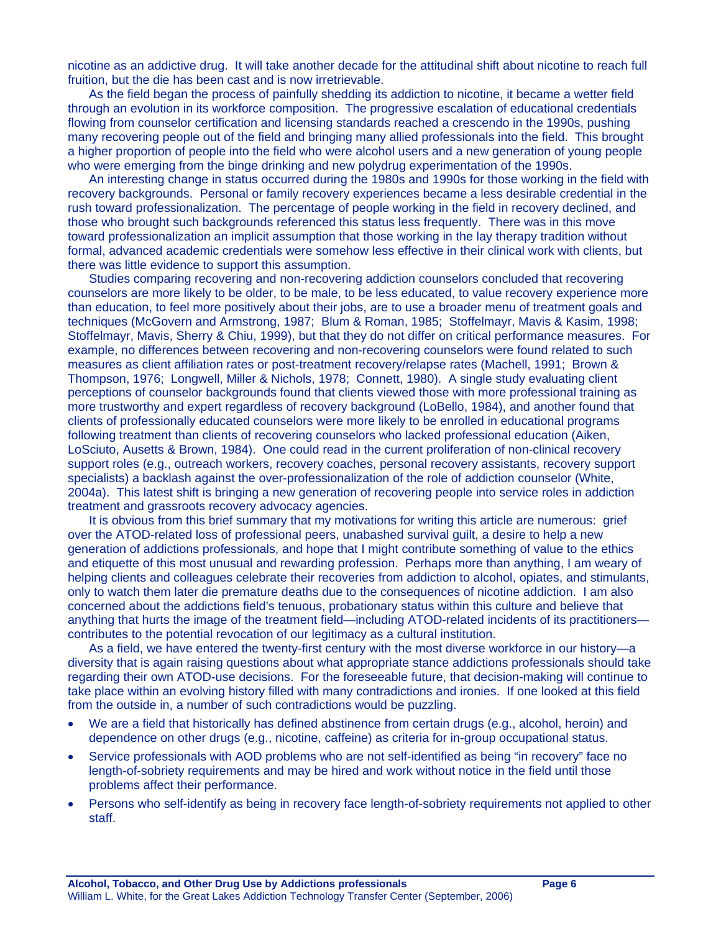nicotine as an addictive drug. It will take another decade for the attitudinal shift about nicotine to reach full fruition, but the die has been cast and is now irretrievable.

As the field began the process of painfully shedding its addiction to nicotine, it became a wetter field through an evolution in its workforce composition. The progressive escalation of educational credentials flowing from counselor certification and licensing standards reached a crescendo in the 1990s, pushing many recovering people out of the field and bringing many allied professionals into the field. This brought a higher proportion of people into the field who were alcohol users and a new generation of young people who were emerging from the binge drinking and new polydrug experimentation of the 1990s.

An interesting change in status occurred during the 1980s and 1990s for those working in the field with recovery backgrounds. Personal or family recovery experiences became a less desirable credential in the rush toward professionalization. The percentage of people working in the field in recovery declined, and those who brought such backgrounds referenced this status less frequently. There was in this move toward professionalization an implicit assumption that those working in the lay therapy tradition without formal, advanced academic credentials were somehow less effective in their clinical work with clients, but there was little evidence to support this assumption.

Studies comparing recovering and non-recovering addiction counselors concluded that recovering counselors are more likely to be older, to be male, to be less educated, to value recovery experience more than education, to feel more positively about their jobs, are to use a broader menu of treatment goals and techniques (McGovern and Armstrong, 1987; Blum & Roman, 1985; Stoffelmayr, Mavis & Kasim, 1998; Stoffelmayr, Mavis, Sherry & Chiu, 1999), but that they do not differ on critical performance measures. For example, no differences between recovering and non-recovering counselors were found related to such measures as client affiliation rates or post-treatment recovery/relapse rates (Machell, 1991; Brown & Thompson, 1976; Longwell, Miller & Nichols, 1978; Connett, 1980). A single study evaluating client perceptions of counselor backgrounds found that clients viewed those with more professional training as more trustworthy and expert regardless of recovery background (LoBello, 1984), and another found that clients of professionally educated counselors were more likely to be enrolled in educational programs following treatment than clients of recovering counselors who lacked professional education (Aiken, LoSciuto, Ausetts & Brown, 1984). One could read in the current proliferation of non-clinical recovery support roles (e.g., outreach workers, recovery coaches, personal recovery assistants, recovery support specialists) a backlash against the over-professionalization of the role of addiction counselor (White, 2004a). This latest shift is bringing a new generation of recovering people into service roles in addiction treatment and grassroots recovery advocacy agencies.

It is obvious from this brief summary that my motivations for writing this article are numerous: grief over the ATOD-related loss of professional peers, unabashed survival guilt, a desire to help a new generation of addictions professionals, and hope that I might contribute something of value to the ethics and etiquette of this most unusual and rewarding profession. Perhaps more than anything, I am weary of helping clients and colleagues celebrate their recoveries from addiction to alcohol, opiates, and stimulants, only to watch them later die premature deaths due to the consequences of nicotine addiction. I am also concerned about the addictions field's tenuous, probationary status within this culture and believe that anything that hurts the image of the treatment field—including ATOD-related incidents of its practitioners contributes to the potential revocation of our legitimacy as a cultural institution.

As a field, we have entered the twenty-first century with the most diverse workforce in our history—a diversity that is again raising questions about what appropriate stance addictions professionals should take regarding their own ATOD-use decisions. For the foreseeable future, that decision-making will continue to take place within an evolving history filled with many contradictions and ironies. If one looked at this field from the outside in, a number of such contradictions would be puzzling.

- We are a field that historically has defined abstinence from certain drugs (e.g., alcohol, heroin) and dependence on other drugs (e.g., nicotine, caffeine) as criteria for in-group occupational status.
- Service professionals with AOD problems who are not self-identified as being "in recovery" face no length-of-sobriety requirements and may be hired and work without notice in the field until those problems affect their performance.
- Persons who self-identify as being in recovery face length-of-sobriety requirements not applied to other staff.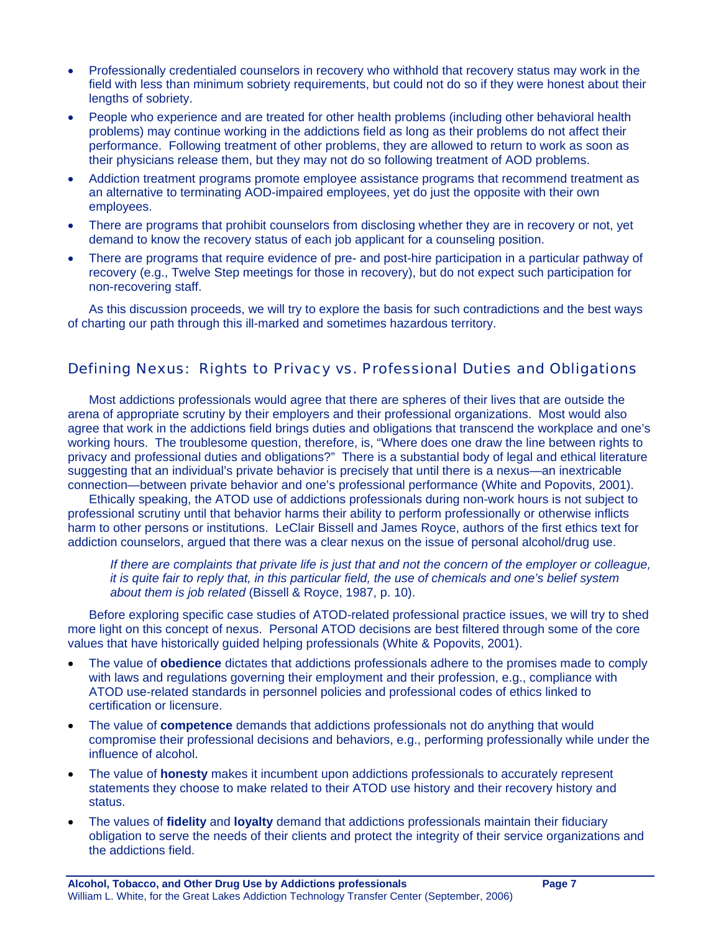- Professionally credentialed counselors in recovery who withhold that recovery status may work in the field with less than minimum sobriety requirements, but could not do so if they were honest about their lengths of sobriety.
- People who experience and are treated for other health problems (including other behavioral health problems) may continue working in the addictions field as long as their problems do not affect their performance. Following treatment of other problems, they are allowed to return to work as soon as their physicians release them, but they may not do so following treatment of AOD problems.
- Addiction treatment programs promote employee assistance programs that recommend treatment as an alternative to terminating AOD-impaired employees, yet do just the opposite with their own employees.
- There are programs that prohibit counselors from disclosing whether they are in recovery or not, yet demand to know the recovery status of each job applicant for a counseling position.
- There are programs that require evidence of pre- and post-hire participation in a particular pathway of recovery (e.g., Twelve Step meetings for those in recovery), but do not expect such participation for non-recovering staff.

As this discussion proceeds, we will try to explore the basis for such contradictions and the best ways of charting our path through this ill-marked and sometimes hazardous territory.

## Defining Nexus: Rights to Privacy vs. Professional Duties and Obligations

Most addictions professionals would agree that there are spheres of their lives that are outside the arena of appropriate scrutiny by their employers and their professional organizations. Most would also agree that work in the addictions field brings duties and obligations that transcend the workplace and one's working hours. The troublesome question, therefore, is, "Where does one draw the line between rights to privacy and professional duties and obligations?" There is a substantial body of legal and ethical literature suggesting that an individual's private behavior is precisely that until there is a nexus—an inextricable connection—between private behavior and one's professional performance (White and Popovits, 2001).

Ethically speaking, the ATOD use of addictions professionals during non-work hours is not subject to professional scrutiny until that behavior harms their ability to perform professionally or otherwise inflicts harm to other persons or institutions. LeClair Bissell and James Royce, authors of the first ethics text for addiction counselors, argued that there was a clear nexus on the issue of personal alcohol/drug use.

*If there are complaints that private life is just that and not the concern of the employer or colleague, it is quite fair to reply that, in this particular field, the use of chemicals and one's belief system about them is job related* (Bissell & Royce, 1987, p. 10).

Before exploring specific case studies of ATOD-related professional practice issues, we will try to shed more light on this concept of nexus. Personal ATOD decisions are best filtered through some of the core values that have historically guided helping professionals (White & Popovits, 2001).

- The value of **obedience** dictates that addictions professionals adhere to the promises made to comply with laws and regulations governing their employment and their profession, e.g., compliance with ATOD use-related standards in personnel policies and professional codes of ethics linked to certification or licensure.
- The value of **competence** demands that addictions professionals not do anything that would compromise their professional decisions and behaviors, e.g., performing professionally while under the influence of alcohol.
- The value of **honesty** makes it incumbent upon addictions professionals to accurately represent statements they choose to make related to their ATOD use history and their recovery history and status.
- The values of **fidelity** and **loyalty** demand that addictions professionals maintain their fiduciary obligation to serve the needs of their clients and protect the integrity of their service organizations and the addictions field.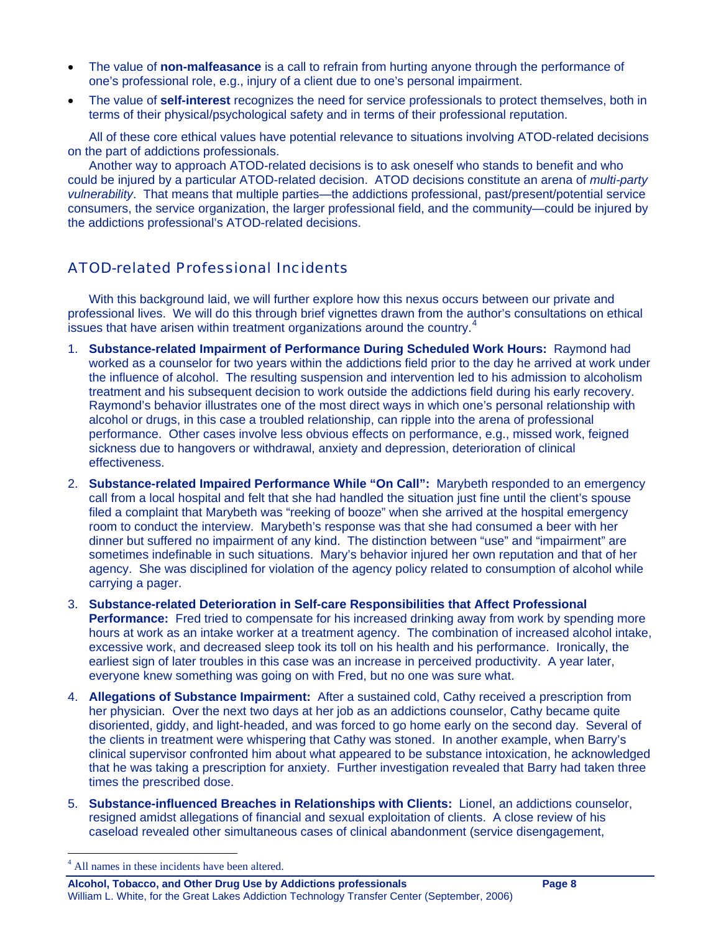- The value of **non-malfeasance** is a call to refrain from hurting anyone through the performance of one's professional role, e.g., injury of a client due to one's personal impairment.
- The value of **self-interest** recognizes the need for service professionals to protect themselves, both in terms of their physical/psychological safety and in terms of their professional reputation.

All of these core ethical values have potential relevance to situations involving ATOD-related decisions on the part of addictions professionals.

Another way to approach ATOD-related decisions is to ask oneself who stands to benefit and who could be injured by a particular ATOD-related decision. ATOD decisions constitute an arena of *multi-party vulnerability*. That means that multiple parties—the addictions professional, past/present/potential service consumers, the service organization, the larger professional field, and the community—could be injured by the addictions professional's ATOD-related decisions.

## ATOD-related Professional Incidents

With this background laid, we will further explore how this nexus occurs between our private and professional lives. We will do this through brief vignettes drawn from the author's consultations on ethical issues that have arisen within treatment organizations around the country.<sup>[4](#page-7-0)</sup>

- 1. **Substance-related Impairment of Performance During Scheduled Work Hours:** Raymond had worked as a counselor for two years within the addictions field prior to the day he arrived at work under the influence of alcohol. The resulting suspension and intervention led to his admission to alcoholism treatment and his subsequent decision to work outside the addictions field during his early recovery. Raymond's behavior illustrates one of the most direct ways in which one's personal relationship with alcohol or drugs, in this case a troubled relationship, can ripple into the arena of professional performance. Other cases involve less obvious effects on performance, e.g., missed work, feigned sickness due to hangovers or withdrawal, anxiety and depression, deterioration of clinical effectiveness.
- 2. **Substance-related Impaired Performance While "On Call":** Marybeth responded to an emergency call from a local hospital and felt that she had handled the situation just fine until the client's spouse filed a complaint that Marybeth was "reeking of booze" when she arrived at the hospital emergency room to conduct the interview. Marybeth's response was that she had consumed a beer with her dinner but suffered no impairment of any kind. The distinction between "use" and "impairment" are sometimes indefinable in such situations. Mary's behavior injured her own reputation and that of her agency. She was disciplined for violation of the agency policy related to consumption of alcohol while carrying a pager.
- 3. **Substance-related Deterioration in Self-care Responsibilities that Affect Professional Performance:** Fred tried to compensate for his increased drinking away from work by spending more hours at work as an intake worker at a treatment agency. The combination of increased alcohol intake, excessive work, and decreased sleep took its toll on his health and his performance. Ironically, the earliest sign of later troubles in this case was an increase in perceived productivity. A year later, everyone knew something was going on with Fred, but no one was sure what.
- 4. **Allegations of Substance Impairment:** After a sustained cold, Cathy received a prescription from her physician. Over the next two days at her job as an addictions counselor, Cathy became quite disoriented, giddy, and light-headed, and was forced to go home early on the second day. Several of the clients in treatment were whispering that Cathy was stoned. In another example, when Barry's clinical supervisor confronted him about what appeared to be substance intoxication, he acknowledged that he was taking a prescription for anxiety. Further investigation revealed that Barry had taken three times the prescribed dose.
- 5. **Substance-influenced Breaches in Relationships with Clients:** Lionel, an addictions counselor, resigned amidst allegations of financial and sexual exploitation of clients. A close review of his caseload revealed other simultaneous cases of clinical abandonment (service disengagement,

 $\overline{a}$ 

<span id="page-7-0"></span><sup>4</sup> All names in these incidents have been altered.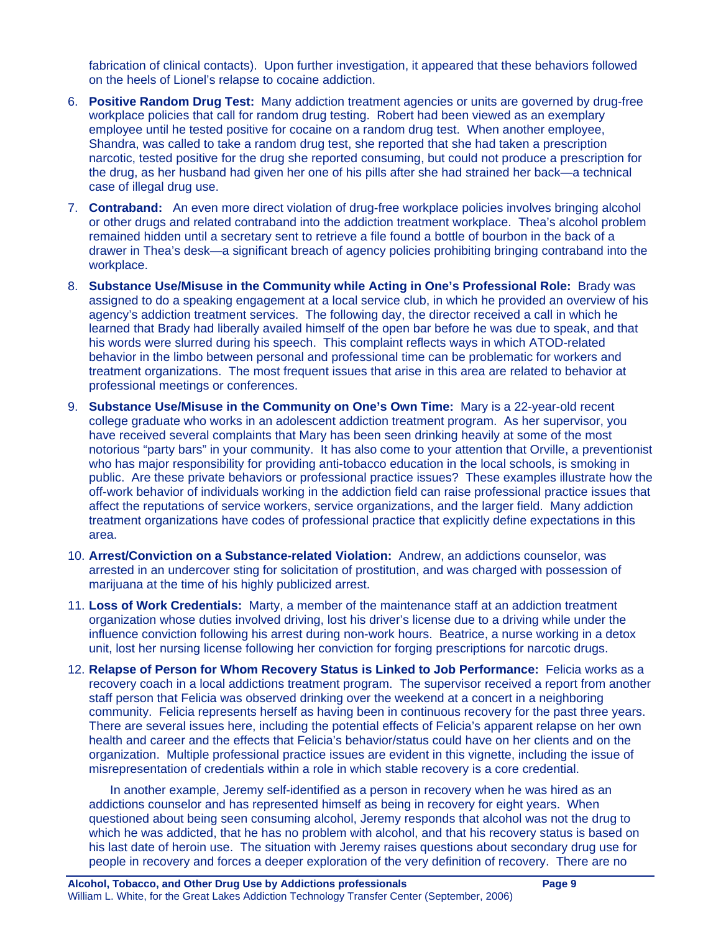fabrication of clinical contacts). Upon further investigation, it appeared that these behaviors followed on the heels of Lionel's relapse to cocaine addiction.

- 6. **Positive Random Drug Test:** Many addiction treatment agencies or units are governed by drug-free workplace policies that call for random drug testing. Robert had been viewed as an exemplary employee until he tested positive for cocaine on a random drug test. When another employee, Shandra, was called to take a random drug test, she reported that she had taken a prescription narcotic, tested positive for the drug she reported consuming, but could not produce a prescription for the drug, as her husband had given her one of his pills after she had strained her back—a technical case of illegal drug use.
- 7. **Contraband:** An even more direct violation of drug-free workplace policies involves bringing alcohol or other drugs and related contraband into the addiction treatment workplace. Thea's alcohol problem remained hidden until a secretary sent to retrieve a file found a bottle of bourbon in the back of a drawer in Thea's desk—a significant breach of agency policies prohibiting bringing contraband into the workplace.
- 8. **Substance Use/Misuse in the Community while Acting in One's Professional Role:** Brady was assigned to do a speaking engagement at a local service club, in which he provided an overview of his agency's addiction treatment services. The following day, the director received a call in which he learned that Brady had liberally availed himself of the open bar before he was due to speak, and that his words were slurred during his speech. This complaint reflects ways in which ATOD-related behavior in the limbo between personal and professional time can be problematic for workers and treatment organizations. The most frequent issues that arise in this area are related to behavior at professional meetings or conferences.
- 9. **Substance Use/Misuse in the Community on One's Own Time:** Mary is a 22-year-old recent college graduate who works in an adolescent addiction treatment program. As her supervisor, you have received several complaints that Mary has been seen drinking heavily at some of the most notorious "party bars" in your community. It has also come to your attention that Orville, a preventionist who has major responsibility for providing anti-tobacco education in the local schools, is smoking in public. Are these private behaviors or professional practice issues? These examples illustrate how the off-work behavior of individuals working in the addiction field can raise professional practice issues that affect the reputations of service workers, service organizations, and the larger field. Many addiction treatment organizations have codes of professional practice that explicitly define expectations in this area.
- 10. **Arrest/Conviction on a Substance-related Violation:** Andrew, an addictions counselor, was arrested in an undercover sting for solicitation of prostitution, and was charged with possession of marijuana at the time of his highly publicized arrest.
- 11. **Loss of Work Credentials:** Marty, a member of the maintenance staff at an addiction treatment organization whose duties involved driving, lost his driver's license due to a driving while under the influence conviction following his arrest during non-work hours. Beatrice, a nurse working in a detox unit, lost her nursing license following her conviction for forging prescriptions for narcotic drugs.
- 12. **Relapse of Person for Whom Recovery Status is Linked to Job Performance:** Felicia works as a recovery coach in a local addictions treatment program. The supervisor received a report from another staff person that Felicia was observed drinking over the weekend at a concert in a neighboring community. Felicia represents herself as having been in continuous recovery for the past three years. There are several issues here, including the potential effects of Felicia's apparent relapse on her own health and career and the effects that Felicia's behavior/status could have on her clients and on the organization. Multiple professional practice issues are evident in this vignette, including the issue of misrepresentation of credentials within a role in which stable recovery is a core credential.

In another example, Jeremy self-identified as a person in recovery when he was hired as an addictions counselor and has represented himself as being in recovery for eight years. When questioned about being seen consuming alcohol, Jeremy responds that alcohol was not the drug to which he was addicted, that he has no problem with alcohol, and that his recovery status is based on his last date of heroin use. The situation with Jeremy raises questions about secondary drug use for people in recovery and forces a deeper exploration of the very definition of recovery. There are no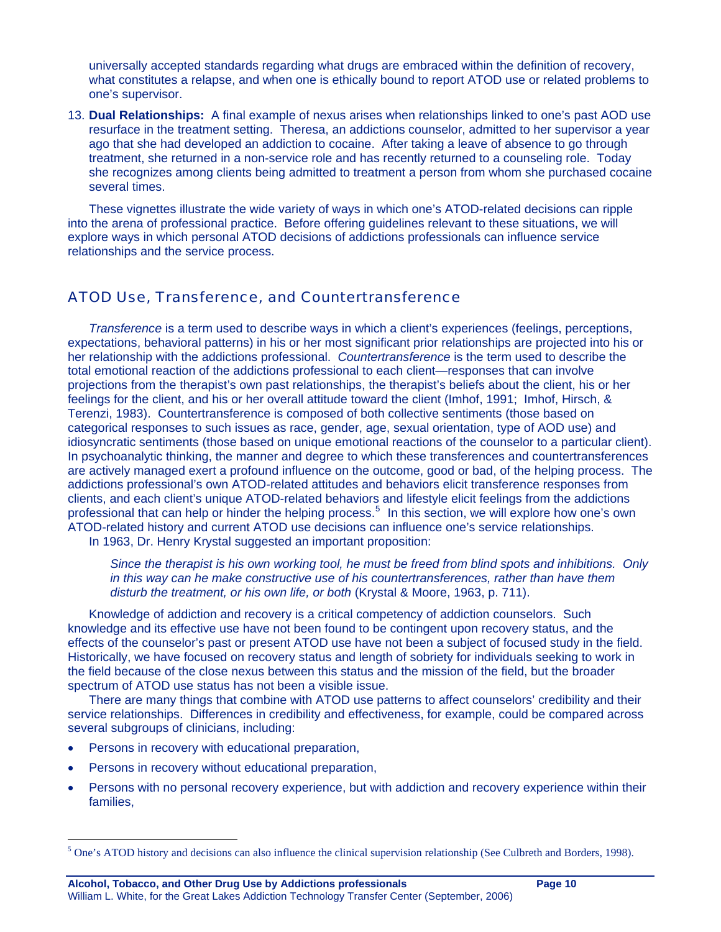universally accepted standards regarding what drugs are embraced within the definition of recovery, what constitutes a relapse, and when one is ethically bound to report ATOD use or related problems to one's supervisor.

13. **Dual Relationships:** A final example of nexus arises when relationships linked to one's past AOD use resurface in the treatment setting. Theresa, an addictions counselor, admitted to her supervisor a year ago that she had developed an addiction to cocaine. After taking a leave of absence to go through treatment, she returned in a non-service role and has recently returned to a counseling role. Today she recognizes among clients being admitted to treatment a person from whom she purchased cocaine several times.

These vignettes illustrate the wide variety of ways in which one's ATOD-related decisions can ripple into the arena of professional practice. Before offering guidelines relevant to these situations, we will explore ways in which personal ATOD decisions of addictions professionals can influence service relationships and the service process.

### ATOD Use, Transference, and Countertransference

*Transference* is a term used to describe ways in which a client's experiences (feelings, perceptions, expectations, behavioral patterns) in his or her most significant prior relationships are projected into his or her relationship with the addictions professional. *Countertransference* is the term used to describe the total emotional reaction of the addictions professional to each client—responses that can involve projections from the therapist's own past relationships, the therapist's beliefs about the client, his or her feelings for the client, and his or her overall attitude toward the client (Imhof, 1991; Imhof, Hirsch, & Terenzi, 1983). Countertransference is composed of both collective sentiments (those based on categorical responses to such issues as race, gender, age, sexual orientation, type of AOD use) and idiosyncratic sentiments (those based on unique emotional reactions of the counselor to a particular client). In psychoanalytic thinking, the manner and degree to which these transferences and countertransferences are actively managed exert a profound influence on the outcome, good or bad, of the helping process. The addictions professional's own ATOD-related attitudes and behaviors elicit transference responses from clients, and each client's unique ATOD-related behaviors and lifestyle elicit feelings from the addictions professional that can help or hinder the helping process.<sup>[5](#page-9-0)</sup> In this section, we will explore how one's own ATOD-related history and current ATOD use decisions can influence one's service relationships.

In 1963, Dr. Henry Krystal suggested an important proposition:

*Since the therapist is his own working tool, he must be freed from blind spots and inhibitions. Only in this way can he make constructive use of his countertransferences, rather than have them*  disturb the treatment, or his own life, or both (Krystal & Moore, 1963, p. 711).

Knowledge of addiction and recovery is a critical competency of addiction counselors. Such knowledge and its effective use have not been found to be contingent upon recovery status, and the effects of the counselor's past or present ATOD use have not been a subject of focused study in the field. Historically, we have focused on recovery status and length of sobriety for individuals seeking to work in the field because of the close nexus between this status and the mission of the field, but the broader spectrum of ATOD use status has not been a visible issue.

There are many things that combine with ATOD use patterns to affect counselors' credibility and their service relationships. Differences in credibility and effectiveness, for example, could be compared across several subgroups of clinicians, including:

Persons in recovery with educational preparation,

 $\overline{a}$ 

- Persons in recovery without educational preparation,
- Persons with no personal recovery experience, but with addiction and recovery experience within their families,

**Alcohol, Tobacco, and Other Drug Use by Addictions professionals Page 10**  William L. White, for the Great Lakes Addiction Technology Transfer Center (September, 2006)

<span id="page-9-0"></span> $<sup>5</sup>$  One's ATOD history and decisions can also influence the clinical supervision relationship (See Culbreth and Borders, 1998).</sup>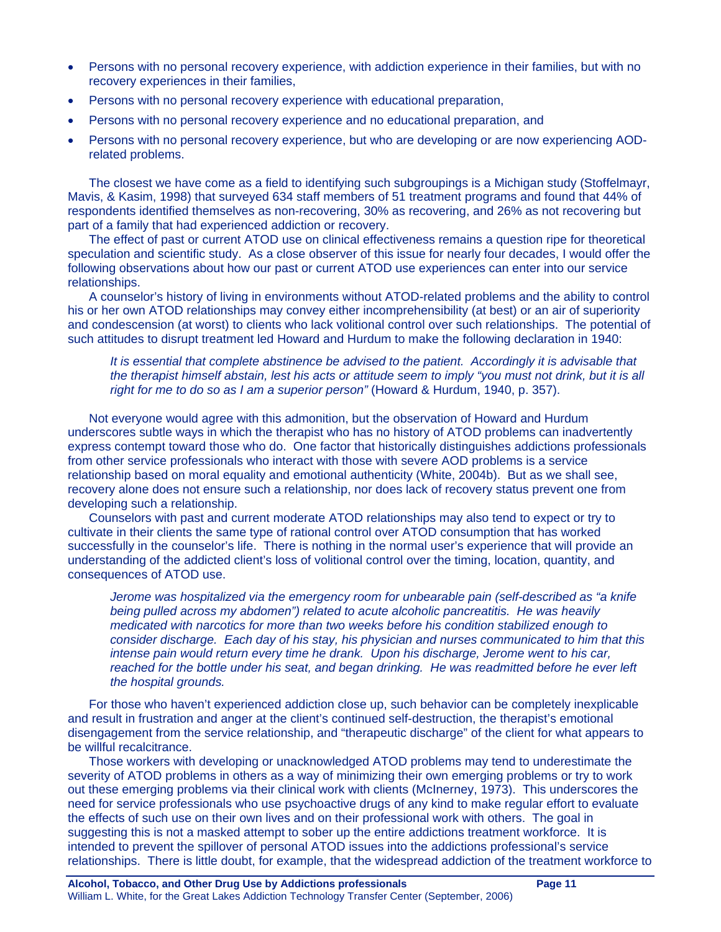- Persons with no personal recovery experience, with addiction experience in their families, but with no recovery experiences in their families,
- Persons with no personal recovery experience with educational preparation,
- Persons with no personal recovery experience and no educational preparation, and
- Persons with no personal recovery experience, but who are developing or are now experiencing AODrelated problems.

The closest we have come as a field to identifying such subgroupings is a Michigan study (Stoffelmayr, Mavis, & Kasim, 1998) that surveyed 634 staff members of 51 treatment programs and found that 44% of respondents identified themselves as non-recovering, 30% as recovering, and 26% as not recovering but part of a family that had experienced addiction or recovery.

The effect of past or current ATOD use on clinical effectiveness remains a question ripe for theoretical speculation and scientific study. As a close observer of this issue for nearly four decades, I would offer the following observations about how our past or current ATOD use experiences can enter into our service relationships.

A counselor's history of living in environments without ATOD-related problems and the ability to control his or her own ATOD relationships may convey either incomprehensibility (at best) or an air of superiority and condescension (at worst) to clients who lack volitional control over such relationships. The potential of such attitudes to disrupt treatment led Howard and Hurdum to make the following declaration in 1940:

*It is essential that complete abstinence be advised to the patient. Accordingly it is advisable that the therapist himself abstain, lest his acts or attitude seem to imply "you must not drink, but it is all right for me to do so as I am a superior person"* (Howard & Hurdum, 1940, p. 357).

Not everyone would agree with this admonition, but the observation of Howard and Hurdum underscores subtle ways in which the therapist who has no history of ATOD problems can inadvertently express contempt toward those who do. One factor that historically distinguishes addictions professionals from other service professionals who interact with those with severe AOD problems is a service relationship based on moral equality and emotional authenticity (White, 2004b). But as we shall see, recovery alone does not ensure such a relationship, nor does lack of recovery status prevent one from developing such a relationship.

Counselors with past and current moderate ATOD relationships may also tend to expect or try to cultivate in their clients the same type of rational control over ATOD consumption that has worked successfully in the counselor's life. There is nothing in the normal user's experience that will provide an understanding of the addicted client's loss of volitional control over the timing, location, quantity, and consequences of ATOD use.

*Jerome was hospitalized via the emergency room for unbearable pain (self-described as "a knife being pulled across my abdomen") related to acute alcoholic pancreatitis. He was heavily medicated with narcotics for more than two weeks before his condition stabilized enough to consider discharge. Each day of his stay, his physician and nurses communicated to him that this intense pain would return every time he drank. Upon his discharge, Jerome went to his car, reached for the bottle under his seat, and began drinking. He was readmitted before he ever left the hospital grounds.* 

For those who haven't experienced addiction close up, such behavior can be completely inexplicable and result in frustration and anger at the client's continued self-destruction, the therapist's emotional disengagement from the service relationship, and "therapeutic discharge" of the client for what appears to be willful recalcitrance.

Those workers with developing or unacknowledged ATOD problems may tend to underestimate the severity of ATOD problems in others as a way of minimizing their own emerging problems or try to work out these emerging problems via their clinical work with clients (McInerney, 1973). This underscores the need for service professionals who use psychoactive drugs of any kind to make regular effort to evaluate the effects of such use on their own lives and on their professional work with others. The goal in suggesting this is not a masked attempt to sober up the entire addictions treatment workforce. It is intended to prevent the spillover of personal ATOD issues into the addictions professional's service relationships. There is little doubt, for example, that the widespread addiction of the treatment workforce to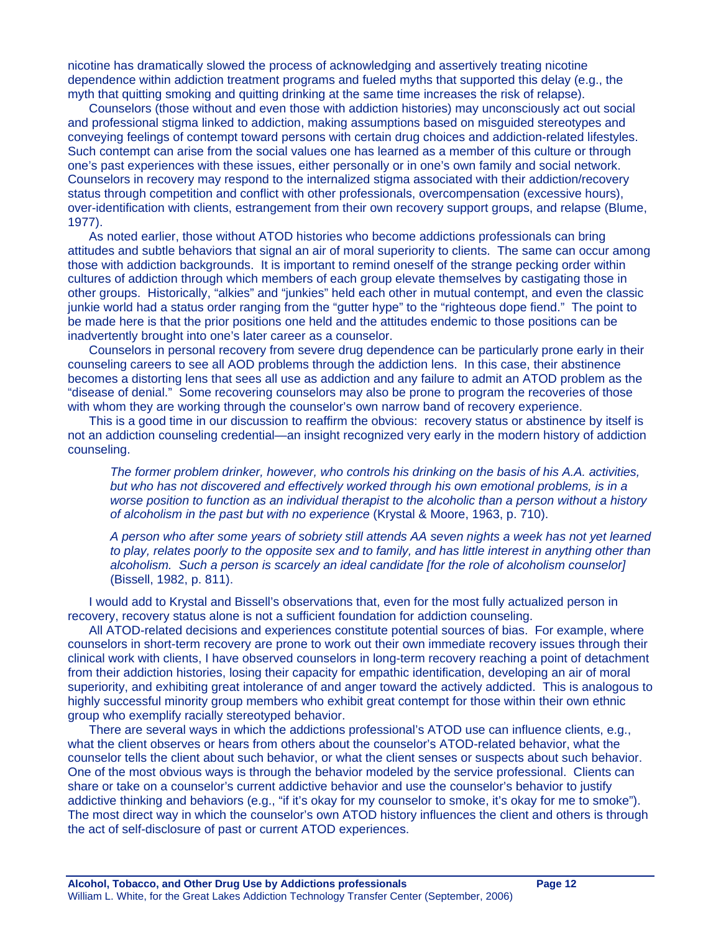nicotine has dramatically slowed the process of acknowledging and assertively treating nicotine dependence within addiction treatment programs and fueled myths that supported this delay (e.g., the myth that quitting smoking and quitting drinking at the same time increases the risk of relapse).

Counselors (those without and even those with addiction histories) may unconsciously act out social and professional stigma linked to addiction, making assumptions based on misguided stereotypes and conveying feelings of contempt toward persons with certain drug choices and addiction-related lifestyles. Such contempt can arise from the social values one has learned as a member of this culture or through one's past experiences with these issues, either personally or in one's own family and social network. Counselors in recovery may respond to the internalized stigma associated with their addiction/recovery status through competition and conflict with other professionals, overcompensation (excessive hours), over-identification with clients, estrangement from their own recovery support groups, and relapse (Blume, 1977).

As noted earlier, those without ATOD histories who become addictions professionals can bring attitudes and subtle behaviors that signal an air of moral superiority to clients. The same can occur among those with addiction backgrounds. It is important to remind oneself of the strange pecking order within cultures of addiction through which members of each group elevate themselves by castigating those in other groups. Historically, "alkies" and "junkies" held each other in mutual contempt, and even the classic junkie world had a status order ranging from the "gutter hype" to the "righteous dope fiend." The point to be made here is that the prior positions one held and the attitudes endemic to those positions can be inadvertently brought into one's later career as a counselor.

Counselors in personal recovery from severe drug dependence can be particularly prone early in their counseling careers to see all AOD problems through the addiction lens. In this case, their abstinence becomes a distorting lens that sees all use as addiction and any failure to admit an ATOD problem as the "disease of denial." Some recovering counselors may also be prone to program the recoveries of those with whom they are working through the counselor's own narrow band of recovery experience.

This is a good time in our discussion to reaffirm the obvious: recovery status or abstinence by itself is not an addiction counseling credential—an insight recognized very early in the modern history of addiction counseling.

*The former problem drinker, however, who controls his drinking on the basis of his A.A. activities,*  but who has not discovered and effectively worked through his own emotional problems, is in a *worse position to function as an individual therapist to the alcoholic than a person without a history of alcoholism in the past but with no experience* (Krystal & Moore, 1963, p. 710).

*A person who after some years of sobriety still attends AA seven nights a week has not yet learned to play, relates poorly to the opposite sex and to family, and has little interest in anything other than alcoholism. Such a person is scarcely an ideal candidate [for the role of alcoholism counselor]* (Bissell, 1982, p. 811).

I would add to Krystal and Bissell's observations that, even for the most fully actualized person in recovery, recovery status alone is not a sufficient foundation for addiction counseling.

All ATOD-related decisions and experiences constitute potential sources of bias. For example, where counselors in short-term recovery are prone to work out their own immediate recovery issues through their clinical work with clients, I have observed counselors in long-term recovery reaching a point of detachment from their addiction histories, losing their capacity for empathic identification, developing an air of moral superiority, and exhibiting great intolerance of and anger toward the actively addicted. This is analogous to highly successful minority group members who exhibit great contempt for those within their own ethnic group who exemplify racially stereotyped behavior.

There are several ways in which the addictions professional's ATOD use can influence clients, e.g., what the client observes or hears from others about the counselor's ATOD-related behavior, what the counselor tells the client about such behavior, or what the client senses or suspects about such behavior. One of the most obvious ways is through the behavior modeled by the service professional. Clients can share or take on a counselor's current addictive behavior and use the counselor's behavior to justify addictive thinking and behaviors (e.g., "if it's okay for my counselor to smoke, it's okay for me to smoke"). The most direct way in which the counselor's own ATOD history influences the client and others is through the act of self-disclosure of past or current ATOD experiences.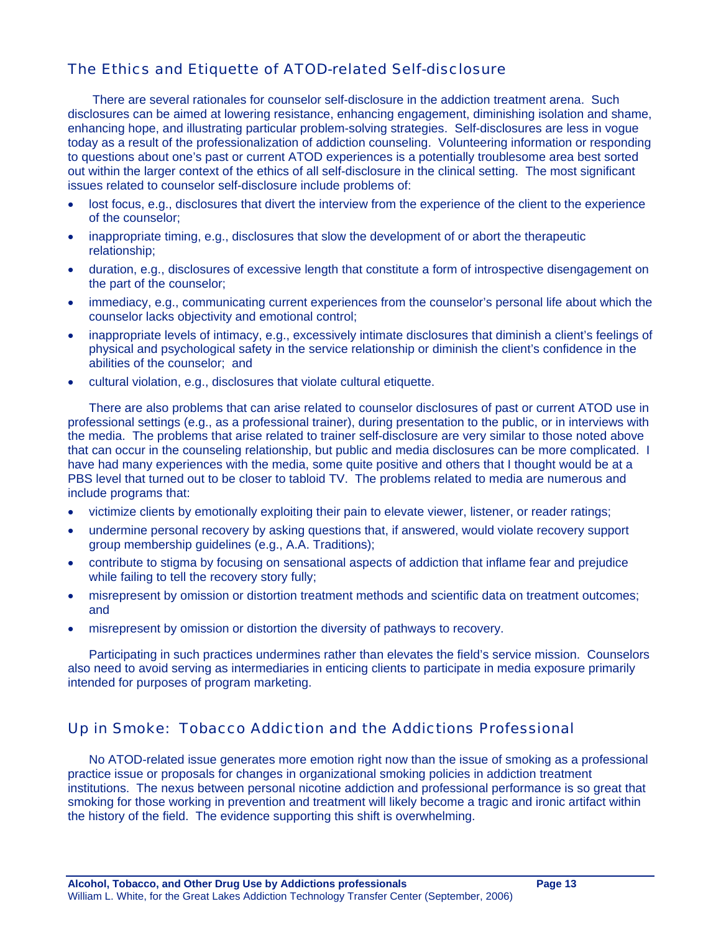## The Ethics and Etiquette of ATOD-related Self-disclosure

There are several rationales for counselor self-disclosure in the addiction treatment arena. Such disclosures can be aimed at lowering resistance, enhancing engagement, diminishing isolation and shame, enhancing hope, and illustrating particular problem-solving strategies. Self-disclosures are less in vogue today as a result of the professionalization of addiction counseling. Volunteering information or responding to questions about one's past or current ATOD experiences is a potentially troublesome area best sorted out within the larger context of the ethics of all self-disclosure in the clinical setting. The most significant issues related to counselor self-disclosure include problems of:

- lost focus, e.g., disclosures that divert the interview from the experience of the client to the experience of the counselor;
- inappropriate timing, e.g., disclosures that slow the development of or abort the therapeutic relationship;
- duration, e.g., disclosures of excessive length that constitute a form of introspective disengagement on the part of the counselor;
- immediacy, e.g., communicating current experiences from the counselor's personal life about which the counselor lacks objectivity and emotional control;
- inappropriate levels of intimacy, e.g., excessively intimate disclosures that diminish a client's feelings of physical and psychological safety in the service relationship or diminish the client's confidence in the abilities of the counselor; and
- cultural violation, e.g., disclosures that violate cultural etiquette.

There are also problems that can arise related to counselor disclosures of past or current ATOD use in professional settings (e.g., as a professional trainer), during presentation to the public, or in interviews with the media. The problems that arise related to trainer self-disclosure are very similar to those noted above that can occur in the counseling relationship, but public and media disclosures can be more complicated. I have had many experiences with the media, some quite positive and others that I thought would be at a PBS level that turned out to be closer to tabloid TV. The problems related to media are numerous and include programs that:

- victimize clients by emotionally exploiting their pain to elevate viewer, listener, or reader ratings;
- undermine personal recovery by asking questions that, if answered, would violate recovery support group membership guidelines (e.g., A.A. Traditions);
- contribute to stigma by focusing on sensational aspects of addiction that inflame fear and prejudice while failing to tell the recovery story fully;
- misrepresent by omission or distortion treatment methods and scientific data on treatment outcomes; and
- misrepresent by omission or distortion the diversity of pathways to recovery.

Participating in such practices undermines rather than elevates the field's service mission. Counselors also need to avoid serving as intermediaries in enticing clients to participate in media exposure primarily intended for purposes of program marketing.

## Up in Smoke: Tobacco Addiction and the Addictions Professional

No ATOD-related issue generates more emotion right now than the issue of smoking as a professional practice issue or proposals for changes in organizational smoking policies in addiction treatment institutions. The nexus between personal nicotine addiction and professional performance is so great that smoking for those working in prevention and treatment will likely become a tragic and ironic artifact within the history of the field. The evidence supporting this shift is overwhelming.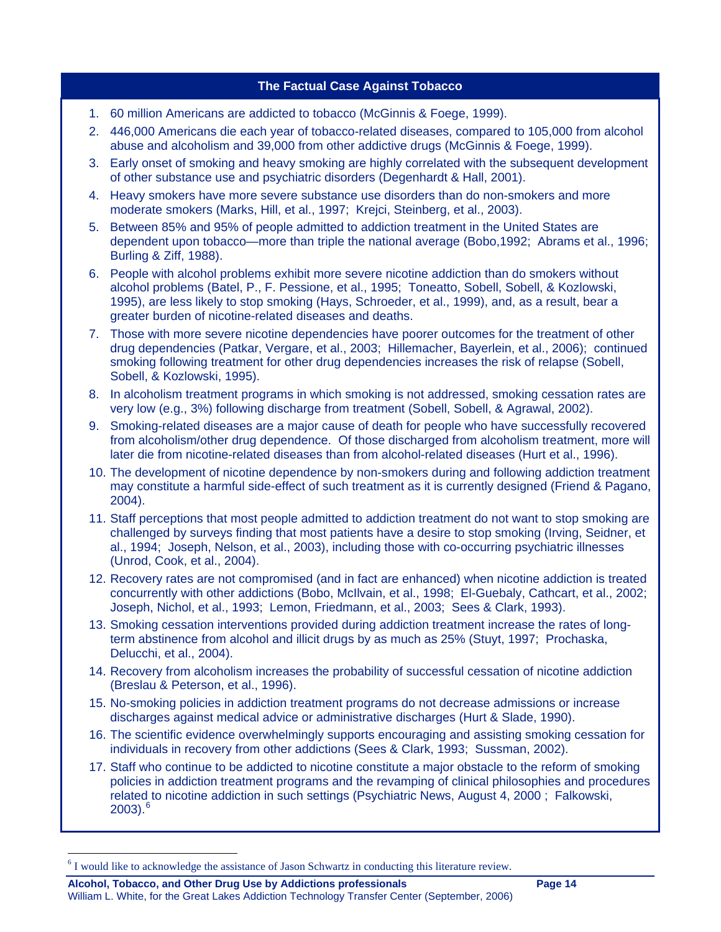#### **The Factual Case Against Tobacco**

- 1. 60 million Americans are addicted to tobacco (McGinnis & Foege, 1999).
- 2. 446,000 Americans die each year of tobacco-related diseases, compared to 105,000 from alcohol abuse and alcoholism and 39,000 from other addictive drugs (McGinnis & Foege, 1999).
- 3. Early onset of smoking and heavy smoking are highly correlated with the subsequent development of other substance use and psychiatric disorders (Degenhardt & Hall, 2001).
- 4. Heavy smokers have more severe substance use disorders than do non-smokers and more moderate smokers (Marks, Hill, et al., 1997; Krejci, Steinberg, et al., 2003).
- 5. Between 85% and 95% of people admitted to addiction treatment in the United States are dependent upon tobacco—more than triple the national average (Bobo,1992; Abrams et al., 1996; Burling & Ziff, 1988).
- 6. People with alcohol problems exhibit more severe nicotine addiction than do smokers without alcohol problems (Batel, P., F. Pessione, et al., 1995; Toneatto, Sobell, Sobell, & Kozlowski, 1995), are less likely to stop smoking (Hays, Schroeder, et al., 1999), and, as a result, bear a greater burden of nicotine-related diseases and deaths.
- 7. Those with more severe nicotine dependencies have poorer outcomes for the treatment of other drug dependencies (Patkar, Vergare, et al., 2003; Hillemacher, Bayerlein, et al., 2006); continued smoking following treatment for other drug dependencies increases the risk of relapse (Sobell, Sobell, & Kozlowski, 1995).
- 8. In alcoholism treatment programs in which smoking is not addressed, smoking cessation rates are very low (e.g., 3%) following discharge from treatment (Sobell, Sobell, & Agrawal, 2002).
- 9. Smoking-related diseases are a major cause of death for people who have successfully recovered from alcoholism/other drug dependence. Of those discharged from alcoholism treatment, more will later die from nicotine-related diseases than from alcohol-related diseases (Hurt et al., 1996).
- 10. The development of nicotine dependence by non-smokers during and following addiction treatment may constitute a harmful side-effect of such treatment as it is currently designed (Friend & Pagano, 2004).
- 11. Staff perceptions that most people admitted to addiction treatment do not want to stop smoking are challenged by surveys finding that most patients have a desire to stop smoking (Irving, Seidner, et al., 1994; Joseph, Nelson, et al., 2003), including those with co-occurring psychiatric illnesses (Unrod, Cook, et al., 2004).
- 12. Recovery rates are not compromised (and in fact are enhanced) when nicotine addiction is treated concurrently with other addictions (Bobo, McIlvain, et al., 1998; El-Guebaly, Cathcart, et al., 2002; Joseph, Nichol, et al., 1993; Lemon, Friedmann, et al., 2003; Sees & Clark, 1993).
- 13. Smoking cessation interventions provided during addiction treatment increase the rates of longterm abstinence from alcohol and illicit drugs by as much as 25% (Stuyt, 1997; Prochaska, Delucchi, et al., 2004).
- 14. Recovery from alcoholism increases the probability of successful cessation of nicotine addiction (Breslau & Peterson, et al., 1996).
- 15. No-smoking policies in addiction treatment programs do not decrease admissions or increase discharges against medical advice or administrative discharges (Hurt & Slade, 1990).
- 16. The scientific evidence overwhelmingly supports encouraging and assisting smoking cessation for individuals in recovery from other addictions (Sees & Clark, 1993; Sussman, 2002).
- 17. Staff who continue to be addicted to nicotine constitute a major obstacle to the reform of smoking policies in addiction treatment programs and the revamping of clinical philosophies and procedures related to nicotine addiction in such settings (Psychiatric News, August 4, 2000 ; Falkowski,  $2003$ ). $^{6}$  $^{6}$  $^{6}$

**Alcohol, Tobacco, and Other Drug Use by Addictions professionals Page 14** 

 $\overline{a}$ 

William L. White, for the Great Lakes Addiction Technology Transfer Center (September, 2006)

<span id="page-13-0"></span><sup>&</sup>lt;sup>6</sup> I would like to acknowledge the assistance of Jason Schwartz in conducting this literature review.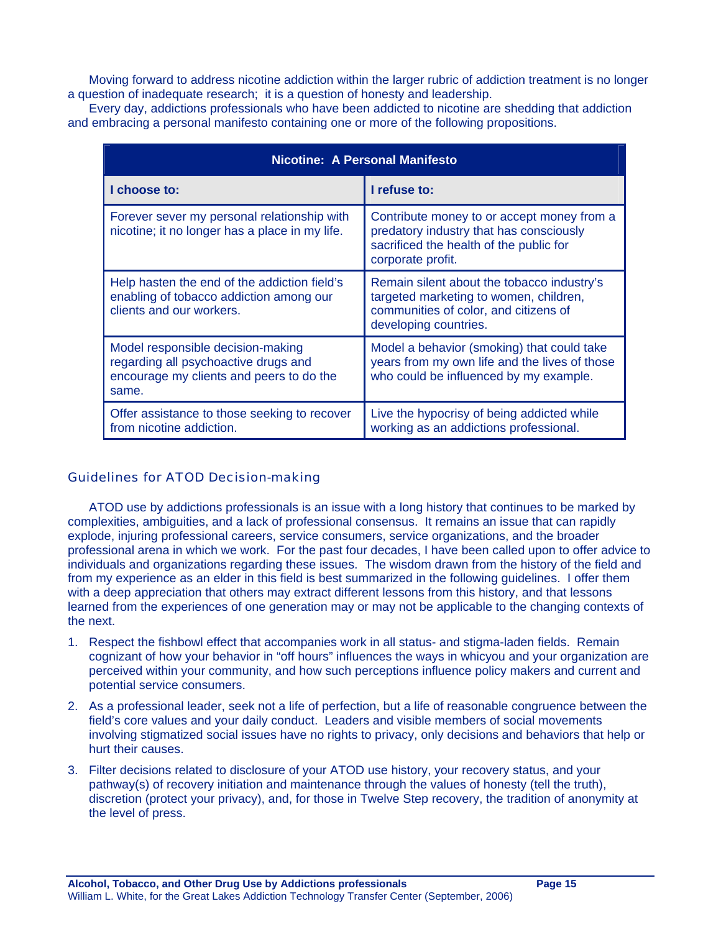Moving forward to address nicotine addiction within the larger rubric of addiction treatment is no longer a question of inadequate research; it is a question of honesty and leadership.

Every day, addictions professionals who have been addicted to nicotine are shedding that addiction and embracing a personal manifesto containing one or more of the following propositions.

| Nicotine: A Personal Manifesto                                                                                                 |                                                                                                                                                        |
|--------------------------------------------------------------------------------------------------------------------------------|--------------------------------------------------------------------------------------------------------------------------------------------------------|
| I choose to:                                                                                                                   | I refuse to:                                                                                                                                           |
| Forever sever my personal relationship with<br>nicotine; it no longer has a place in my life.                                  | Contribute money to or accept money from a<br>predatory industry that has consciously<br>sacrificed the health of the public for<br>corporate profit.  |
| Help hasten the end of the addiction field's<br>enabling of tobacco addiction among our<br>clients and our workers.            | Remain silent about the tobacco industry's<br>targeted marketing to women, children,<br>communities of color, and citizens of<br>developing countries. |
| Model responsible decision-making<br>regarding all psychoactive drugs and<br>encourage my clients and peers to do the<br>same. | Model a behavior (smoking) that could take<br>years from my own life and the lives of those<br>who could be influenced by my example.                  |
| Offer assistance to those seeking to recover<br>from nicotine addiction.                                                       | Live the hypocrisy of being addicted while<br>working as an addictions professional.                                                                   |

#### Guidelines for ATOD Decision-making

ATOD use by addictions professionals is an issue with a long history that continues to be marked by complexities, ambiguities, and a lack of professional consensus. It remains an issue that can rapidly explode, injuring professional careers, service consumers, service organizations, and the broader professional arena in which we work. For the past four decades, I have been called upon to offer advice to individuals and organizations regarding these issues. The wisdom drawn from the history of the field and from my experience as an elder in this field is best summarized in the following guidelines. I offer them with a deep appreciation that others may extract different lessons from this history, and that lessons learned from the experiences of one generation may or may not be applicable to the changing contexts of the next.

- 1. Respect the fishbowl effect that accompanies work in all status- and stigma-laden fields. Remain cognizant of how your behavior in "off hours" influences the ways in whicyou and your organization are perceived within your community, and how such perceptions influence policy makers and current and potential service consumers.
- 2. As a professional leader, seek not a life of perfection, but a life of reasonable congruence between the field's core values and your daily conduct. Leaders and visible members of social movements involving stigmatized social issues have no rights to privacy, only decisions and behaviors that help or hurt their causes.
- 3. Filter decisions related to disclosure of your ATOD use history, your recovery status, and your pathway(s) of recovery initiation and maintenance through the values of honesty (tell the truth), discretion (protect your privacy), and, for those in Twelve Step recovery, the tradition of anonymity at the level of press.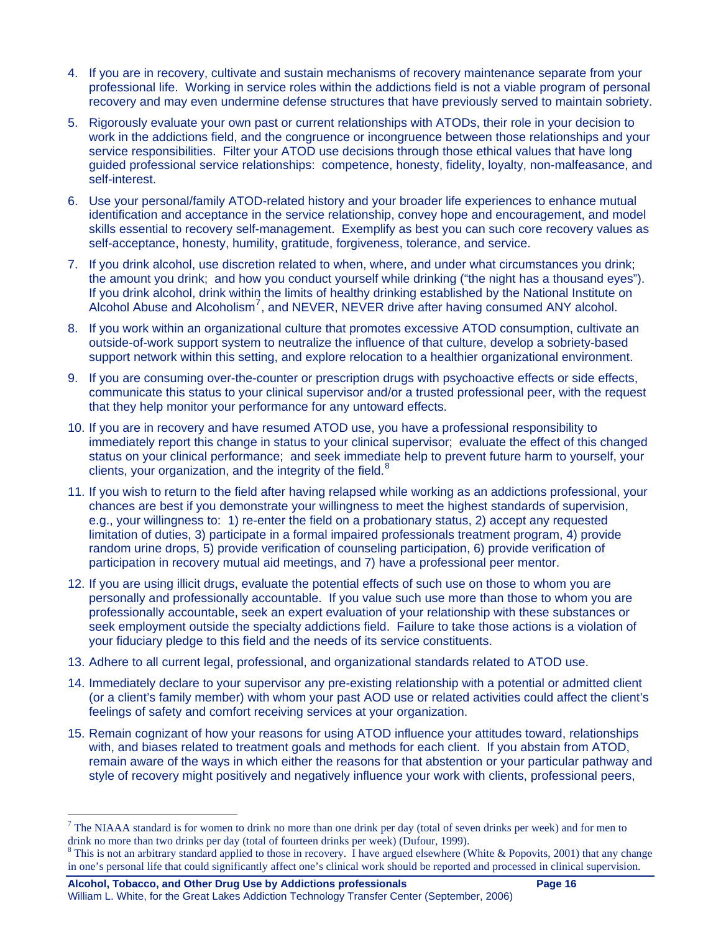- 4. If you are in recovery, cultivate and sustain mechanisms of recovery maintenance separate from your professional life. Working in service roles within the addictions field is not a viable program of personal recovery and may even undermine defense structures that have previously served to maintain sobriety.
- 5. Rigorously evaluate your own past or current relationships with ATODs, their role in your decision to work in the addictions field, and the congruence or incongruence between those relationships and your service responsibilities. Filter your ATOD use decisions through those ethical values that have long guided professional service relationships: competence, honesty, fidelity, loyalty, non-malfeasance, and self-interest.
- 6. Use your personal/family ATOD-related history and your broader life experiences to enhance mutual identification and acceptance in the service relationship, convey hope and encouragement, and model skills essential to recovery self-management. Exemplify as best you can such core recovery values as self-acceptance, honesty, humility, gratitude, forgiveness, tolerance, and service.
- 7. If you drink alcohol, use discretion related to when, where, and under what circumstances you drink; the amount you drink; and how you conduct yourself while drinking ("the night has a thousand eyes"). If you drink alcohol, drink within the limits of healthy drinking established by the National Institute on Alcohol Abuse and Alcoholism<sup>[7](#page-15-0)</sup>, and NEVER, NEVER drive after having consumed ANY alcohol.
- 8. If you work within an organizational culture that promotes excessive ATOD consumption, cultivate an outside-of-work support system to neutralize the influence of that culture, develop a sobriety-based support network within this setting, and explore relocation to a healthier organizational environment.
- 9. If you are consuming over-the-counter or prescription drugs with psychoactive effects or side effects, communicate this status to your clinical supervisor and/or a trusted professional peer, with the request that they help monitor your performance for any untoward effects.
- 10. If you are in recovery and have resumed ATOD use, you have a professional responsibility to immediately report this change in status to your clinical supervisor; evaluate the effect of this changed status on your clinical performance; and seek immediate help to prevent future harm to yourself, your clients, your organization, and the integrity of the field. $8$
- 11. If you wish to return to the field after having relapsed while working as an addictions professional, your chances are best if you demonstrate your willingness to meet the highest standards of supervision, e.g., your willingness to: 1) re-enter the field on a probationary status, 2) accept any requested limitation of duties, 3) participate in a formal impaired professionals treatment program, 4) provide random urine drops, 5) provide verification of counseling participation, 6) provide verification of participation in recovery mutual aid meetings, and 7) have a professional peer mentor.
- 12. If you are using illicit drugs, evaluate the potential effects of such use on those to whom you are personally and professionally accountable. If you value such use more than those to whom you are professionally accountable, seek an expert evaluation of your relationship with these substances or seek employment outside the specialty addictions field. Failure to take those actions is a violation of your fiduciary pledge to this field and the needs of its service constituents.
- 13. Adhere to all current legal, professional, and organizational standards related to ATOD use.
- 14. Immediately declare to your supervisor any pre-existing relationship with a potential or admitted client (or a client's family member) with whom your past AOD use or related activities could affect the client's feelings of safety and comfort receiving services at your organization.
- 15. Remain cognizant of how your reasons for using ATOD influence your attitudes toward, relationships with, and biases related to treatment goals and methods for each client. If you abstain from ATOD, remain aware of the ways in which either the reasons for that abstention or your particular pathway and style of recovery might positively and negatively influence your work with clients, professional peers,

 $\overline{a}$ 

<span id="page-15-0"></span><sup>&</sup>lt;sup>7</sup> The NIAAA standard is for women to drink no more than one drink per day (total of seven drinks per week) and for men to drink no more than two drinks per day (total of fourteen drinks per week) (Dufour, 1999).

<span id="page-15-1"></span>This is not an arbitrary standard applied to those in recovery. I have argued elsewhere (White & Popovits, 2001) that any change in one's personal life that could significantly affect one's clinical work should be reported and processed in clinical supervision.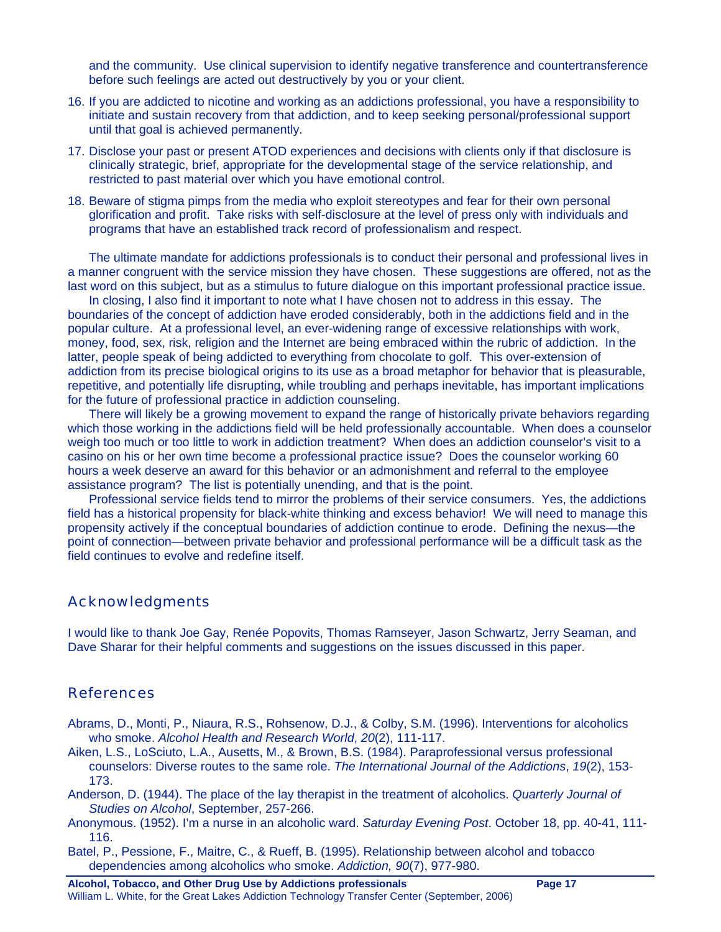and the community. Use clinical supervision to identify negative transference and countertransference before such feelings are acted out destructively by you or your client.

- 16. If you are addicted to nicotine and working as an addictions professional, you have a responsibility to initiate and sustain recovery from that addiction, and to keep seeking personal/professional support until that goal is achieved permanently.
- 17. Disclose your past or present ATOD experiences and decisions with clients only if that disclosure is clinically strategic, brief, appropriate for the developmental stage of the service relationship, and restricted to past material over which you have emotional control.
- 18. Beware of stigma pimps from the media who exploit stereotypes and fear for their own personal glorification and profit. Take risks with self-disclosure at the level of press only with individuals and programs that have an established track record of professionalism and respect.

The ultimate mandate for addictions professionals is to conduct their personal and professional lives in a manner congruent with the service mission they have chosen. These suggestions are offered, not as the last word on this subject, but as a stimulus to future dialogue on this important professional practice issue.

In closing, I also find it important to note what I have chosen not to address in this essay. The boundaries of the concept of addiction have eroded considerably, both in the addictions field and in the popular culture. At a professional level, an ever-widening range of excessive relationships with work, money, food, sex, risk, religion and the Internet are being embraced within the rubric of addiction. In the latter, people speak of being addicted to everything from chocolate to golf. This over-extension of addiction from its precise biological origins to its use as a broad metaphor for behavior that is pleasurable, repetitive, and potentially life disrupting, while troubling and perhaps inevitable, has important implications for the future of professional practice in addiction counseling.

There will likely be a growing movement to expand the range of historically private behaviors regarding which those working in the addictions field will be held professionally accountable. When does a counselor weigh too much or too little to work in addiction treatment? When does an addiction counselor's visit to a casino on his or her own time become a professional practice issue? Does the counselor working 60 hours a week deserve an award for this behavior or an admonishment and referral to the employee assistance program? The list is potentially unending, and that is the point.

Professional service fields tend to mirror the problems of their service consumers. Yes, the addictions field has a historical propensity for black-white thinking and excess behavior! We will need to manage this propensity actively if the conceptual boundaries of addiction continue to erode. Defining the nexus—the point of connection—between private behavior and professional performance will be a difficult task as the field continues to evolve and redefine itself.

#### Acknowledgments

I would like to thank Joe Gay, Renée Popovits, Thomas Ramseyer, Jason Schwartz, Jerry Seaman, and Dave Sharar for their helpful comments and suggestions on the issues discussed in this paper.

#### References

- Abrams, D., Monti, P., Niaura, R.S., Rohsenow, D.J., & Colby, S.M. (1996). Interventions for alcoholics who smoke. *Alcohol Health and Research World*, *20*(2), 111-117.
- Aiken, L.S., LoSciuto, L.A., Ausetts, M., & Brown, B.S. (1984). Paraprofessional versus professional counselors: Diverse routes to the same role. *The International Journal of the Addictions*, *19*(2), 153- 173.
- Anderson, D. (1944). The place of the lay therapist in the treatment of alcoholics. *Quarterly Journal of Studies on Alcohol*, September, 257-266.
- Anonymous. (1952). I'm a nurse in an alcoholic ward. *Saturday Evening Post*. October 18, pp. 40-41, 111- 116.
- Batel, P., Pessione, F., Maitre, C., & Rueff, B. (1995). Relationship between alcohol and tobacco dependencies among alcoholics who smoke. *Addiction, 90*(7), 977-980.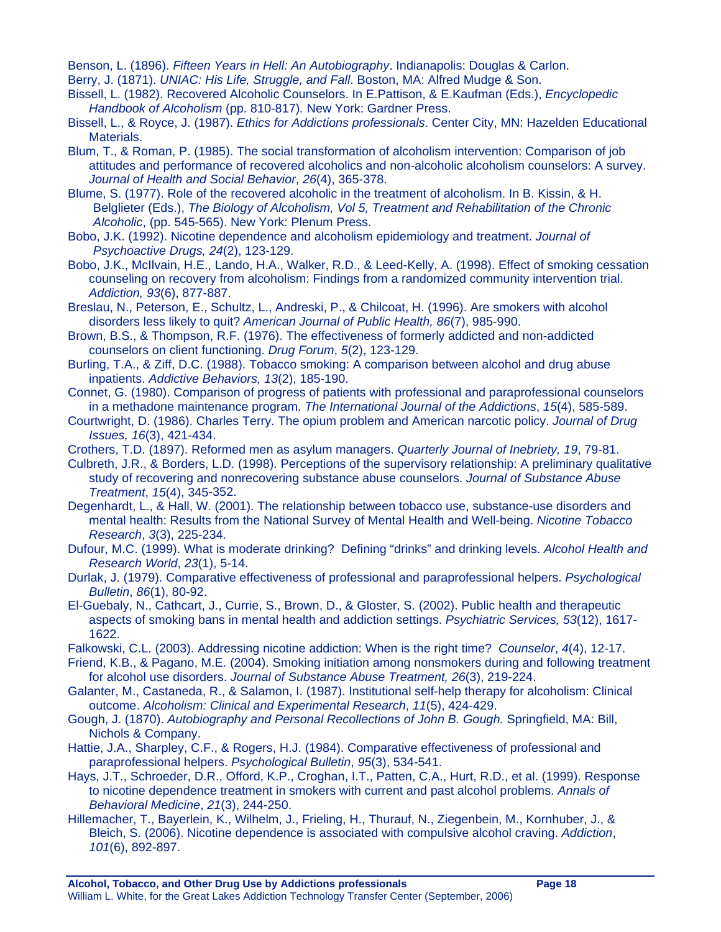Benson, L. (1896). *Fifteen Years in Hell: An Autobiography*. Indianapolis: Douglas & Carlon.

- Berry, J. (1871). *UNIAC: His Life, Struggle, and Fall*. Boston, MA: Alfred Mudge & Son.
- Bissell, L. (1982). Recovered Alcoholic Counselors. In E.Pattison, & E.Kaufman (Eds.), *Encyclopedic Handbook of Alcoholism* (pp. 810-817)*.* New York: Gardner Press.
- Bissell, L., & Royce, J. (1987). *Ethics for Addictions professionals*. Center City, MN: Hazelden Educational Materials.
- Blum, T., & Roman, P. (1985). The social transformation of alcoholism intervention: Comparison of job attitudes and performance of recovered alcoholics and non-alcoholic alcoholism counselors: A survey. *Journal of Health and Social Behavior*, *26*(4), 365-378.
- Blume, S. (1977). Role of the recovered alcoholic in the treatment of alcoholism. In B. Kissin, & H. Belglieter (Eds.), *The Biology of Alcoholism, Vol 5, Treatment and Rehabilitation of the Chronic Alcoholic*, (pp. 545-565). New York: Plenum Press.
- Bobo, J.K. (1992). Nicotine dependence and alcoholism epidemiology and treatment. *Journal of Psychoactive Drugs, 24*(2), 123-129.
- Bobo, J.K., McIlvain, H.E., Lando, H.A., Walker, R.D., & Leed-Kelly, A. (1998). Effect of smoking cessation counseling on recovery from alcoholism: Findings from a randomized community intervention trial. *Addiction, 93*(6), 877-887.
- Breslau, N., Peterson, E., Schultz, L., Andreski, P., & Chilcoat, H. (1996). Are smokers with alcohol disorders less likely to quit? *American Journal of Public Health, 86*(7), 985-990.
- Brown, B.S., & Thompson, R.F. (1976). The effectiveness of formerly addicted and non-addicted counselors on client functioning. *Drug Forum*, *5*(2), 123-129.
- Burling, T.A., & Ziff, D.C. (1988). Tobacco smoking: A comparison between alcohol and drug abuse inpatients. *Addictive Behaviors, 13*(2), 185-190.
- Connet, G. (1980). Comparison of progress of patients with professional and paraprofessional counselors in a methadone maintenance program. *The International Journal of the Addictions*, *15*(4), 585-589.
- Courtwright, D. (1986). Charles Terry. The opium problem and American narcotic policy. *Journal of Drug Issues, 16*(3), 421-434.
- Crothers, T.D. (1897). Reformed men as asylum managers. *Quarterly Journal of Inebriety, 19*, 79-81.
- Culbreth, J.R., & Borders, L.D. (1998). Perceptions of the supervisory relationship: A preliminary qualitative study of recovering and nonrecovering substance abuse counselors. *Journal of Substance Abuse Treatment*, *15*(4), 345-352.
- Degenhardt, L., & Hall, W. (2001). The relationship between tobacco use, substance-use disorders and mental health: Results from the National Survey of Mental Health and Well-being. *Nicotine Tobacco Research*, *3*(3), 225-234.
- Dufour, M.C. (1999). What is moderate drinking? Defining "drinks" and drinking levels. *Alcohol Health and Research World*, *23*(1), 5-14.
- Durlak, J. (1979). Comparative effectiveness of professional and paraprofessional helpers. *Psychological Bulletin*, *86*(1), 80-92.
- El-Guebaly, N., Cathcart, J., Currie, S., Brown, D., & Gloster, S. (2002). Public health and therapeutic aspects of smoking bans in mental health and addiction settings. *Psychiatric Services, 53*(12), 1617- 1622.
- Falkowski, C.L. (2003). Addressing nicotine addiction: When is the right time? *Counselor*, *4*(4), 12-17.
- Friend, K.B., & Pagano, M.E. (2004). Smoking initiation among nonsmokers during and following treatment for alcohol use disorders. *Journal of Substance Abuse Treatment, 26*(3), 219-224.
- Galanter, M., Castaneda, R., & Salamon, I. (1987). Institutional self-help therapy for alcoholism: Clinical outcome. *Alcoholism: Clinical and Experimental Research*, *11*(5), 424-429.
- Gough, J. (1870). *Autobiography and Personal Recollections of John B. Gough.* Springfield, MA: Bill, Nichols & Company.
- Hattie, J.A., Sharpley, C.F., & Rogers, H.J. (1984). Comparative effectiveness of professional and paraprofessional helpers. *Psychological Bulletin*, *95*(3), 534-541.
- Hays, J.T., Schroeder, D.R., Offord, K.P., Croghan, I.T., Patten, C.A., Hurt, R.D., et al. (1999). Response to nicotine dependence treatment in smokers with current and past alcohol problems. *Annals of Behavioral Medicine*, *21*(3), 244-250.
- Hillemacher, T., Bayerlein, K., Wilhelm, J., Frieling, H., Thurauf, N., Ziegenbein, M., Kornhuber, J., & Bleich, S. (2006). Nicotine dependence is associated with compulsive alcohol craving. *Addiction*, *101*(6), 892-897.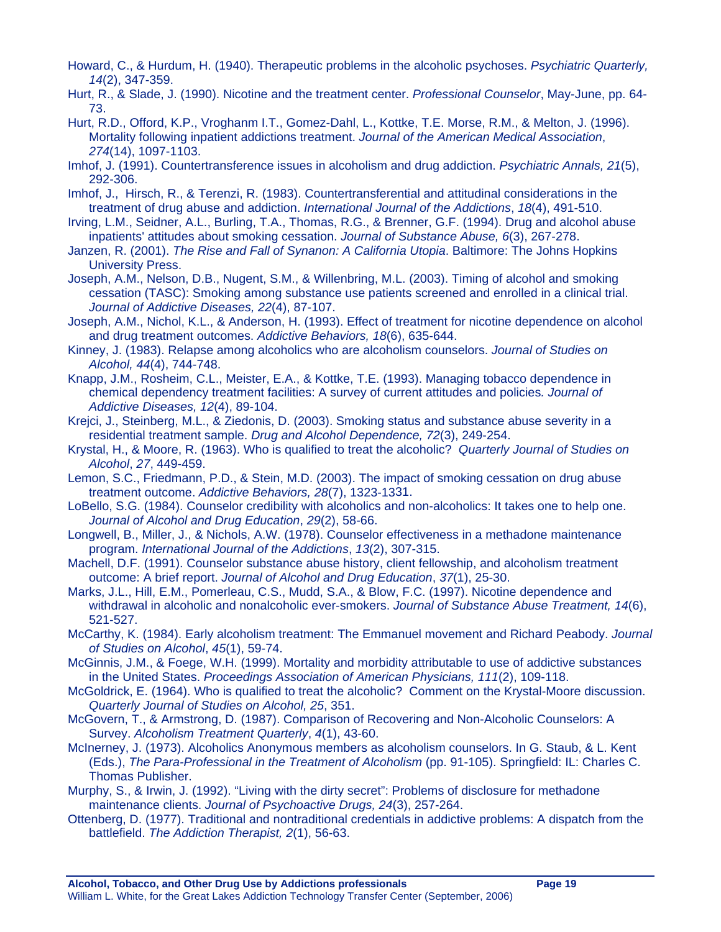- Howard, C., & Hurdum, H. (1940). Therapeutic problems in the alcoholic psychoses. *Psychiatric Quarterly, 14*(2), 347-359.
- Hurt, R., & Slade, J. (1990). Nicotine and the treatment center. *Professional Counselor*, May-June, pp. 64- 73.
- Hurt, R.D., Offord, K.P., Vroghanm I.T., Gomez-Dahl, L., Kottke, T.E. Morse, R.M., & Melton, J. (1996). Mortality following inpatient addictions treatment. *Journal of the American Medical Association*, *274*(14), 1097-1103.
- Imhof, J. (1991). Countertransference issues in alcoholism and drug addiction. *Psychiatric Annals, 21*(5), 292-306.
- Imhof, J., Hirsch, R., & Terenzi, R. (1983). Countertransferential and attitudinal considerations in the treatment of drug abuse and addiction. *International Journal of the Addictions*, *18*(4), 491-510.
- Irving, L.M., Seidner, A.L., Burling, T.A., Thomas, R.G., & Brenner, G.F. (1994). Drug and alcohol abuse inpatients' attitudes about smoking cessation. *Journal of Substance Abuse, 6*(3), 267-278.
- Janzen, R. (2001). *The Rise and Fall of Synanon: A California Utopia*. Baltimore: The Johns Hopkins University Press.
- Joseph, A.M., Nelson, D.B., Nugent, S.M., & Willenbring, M.L. (2003). Timing of alcohol and smoking cessation (TASC): Smoking among substance use patients screened and enrolled in a clinical trial. *Journal of Addictive Diseases, 22*(4), 87-107.
- Joseph, A.M., Nichol, K.L., & Anderson, H. (1993). Effect of treatment for nicotine dependence on alcohol and drug treatment outcomes. *Addictive Behaviors, 18*(6), 635-644.
- Kinney, J. (1983). Relapse among alcoholics who are alcoholism counselors. *Journal of Studies on Alcohol, 44*(4), 744-748.
- Knapp, J.M., Rosheim, C.L., Meister, E.A., & Kottke, T.E. (1993). Managing tobacco dependence in chemical dependency treatment facilities: A survey of current attitudes and policies*. Journal of Addictive Diseases, 12*(4), 89-104.
- Krejci, J., Steinberg, M.L., & Ziedonis, D. (2003). Smoking status and substance abuse severity in a residential treatment sample. *Drug and Alcohol Dependence, 72*(3), 249-254.
- Krystal, H., & Moore, R. (1963). Who is qualified to treat the alcoholic? *Quarterly Journal of Studies on Alcohol*, *27*, 449-459.
- Lemon, S.C., Friedmann, P.D., & Stein, M.D. (2003). The impact of smoking cessation on drug abuse treatment outcome. *Addictive Behaviors, 28*(7), 1323-1331.
- LoBello, S.G. (1984). Counselor credibility with alcoholics and non-alcoholics: It takes one to help one. *Journal of Alcohol and Drug Education*, *29*(2), 58-66.
- Longwell, B., Miller, J., & Nichols, A.W. (1978). Counselor effectiveness in a methadone maintenance program. *International Journal of the Addictions*, *13*(2), 307-315.
- Machell, D.F. (1991). Counselor substance abuse history, client fellowship, and alcoholism treatment outcome: A brief report. *Journal of Alcohol and Drug Education*, *37*(1), 25-30.
- Marks, J.L., Hill, E.M., Pomerleau, C.S., Mudd, S.A., & Blow, F.C. (1997). Nicotine dependence and withdrawal in alcoholic and nonalcoholic ever-smokers. *Journal of Substance Abuse Treatment, 14*(6), 521-527.
- McCarthy, K. (1984). Early alcoholism treatment: The Emmanuel movement and Richard Peabody. *Journal of Studies on Alcohol*, *45*(1), 59-74.
- McGinnis, J.M., & Foege, W.H. (1999). Mortality and morbidity attributable to use of addictive substances in the United States. *Proceedings Association of American Physicians, 111*(2), 109-118.
- McGoldrick, E. (1964). Who is qualified to treat the alcoholic? Comment on the Krystal-Moore discussion. *Quarterly Journal of Studies on Alcohol, 25*, 351.
- McGovern, T., & Armstrong, D. (1987). Comparison of Recovering and Non-Alcoholic Counselors: A Survey. *Alcoholism Treatment Quarterly*, *4*(1), 43-60.
- McInerney, J. (1973). Alcoholics Anonymous members as alcoholism counselors. In G. Staub, & L. Kent (Eds.), *The Para-Professional in the Treatment of Alcoholism* (pp. 91-105). Springfield: IL: Charles C. Thomas Publisher.
- Murphy, S., & Irwin, J. (1992). "Living with the dirty secret": Problems of disclosure for methadone maintenance clients. *Journal of Psychoactive Drugs, 24*(3), 257-264.
- Ottenberg, D. (1977). Traditional and nontraditional credentials in addictive problems: A dispatch from the battlefield. *The Addiction Therapist, 2*(1), 56-63.